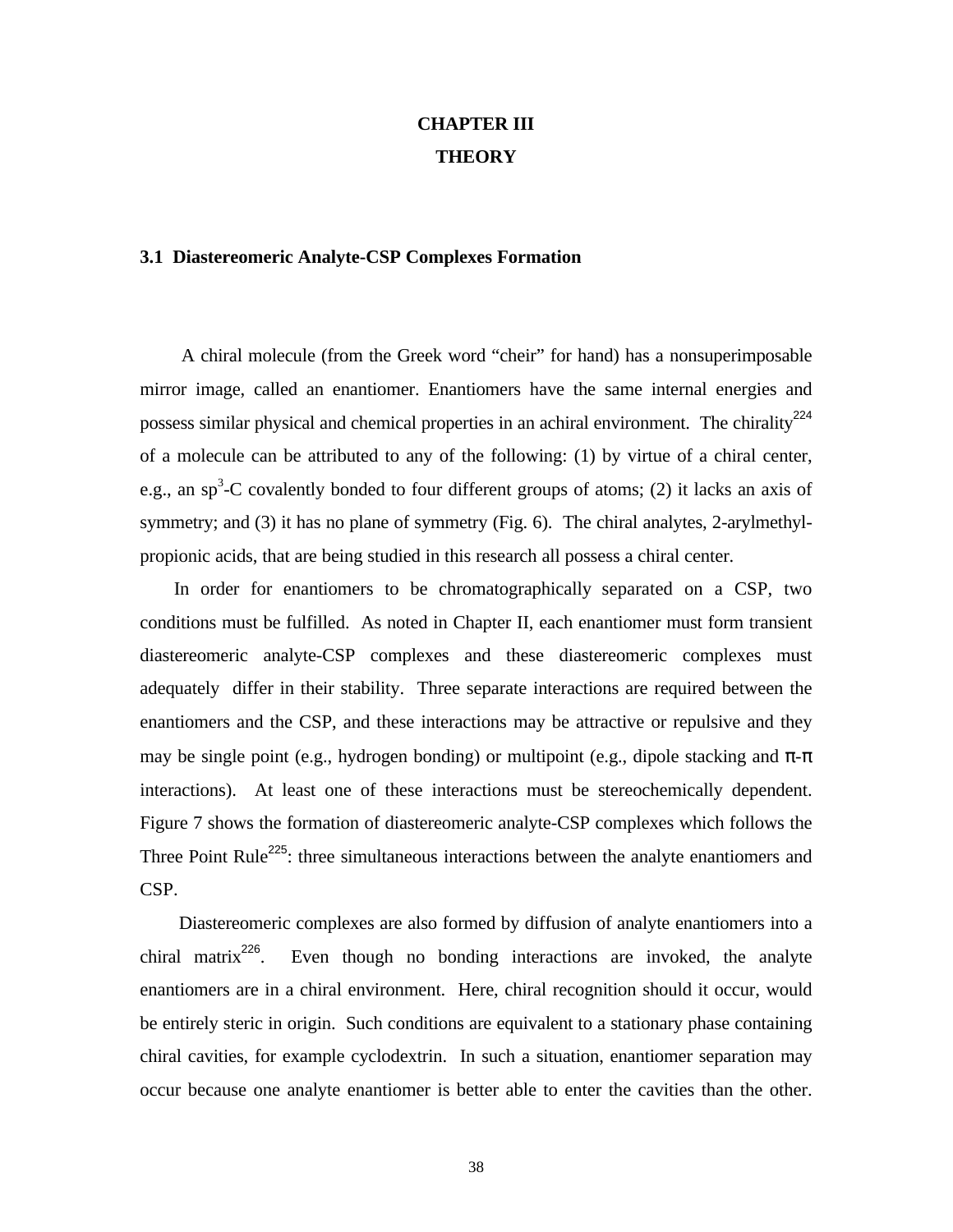## **CHAPTER III THEORY**

#### **3.1 Diastereomeric Analyte-CSP Complexes Formation**

 A chiral molecule (from the Greek word "cheir" for hand) has a nonsuperimposable mirror image, called an enantiomer. Enantiomers have the same internal energies and possess similar physical and chemical properties in an achiral environment. The chirality<sup>224</sup> of a molecule can be attributed to any of the following: (1) by virtue of a chiral center, e.g., an sp<sup>3</sup>-C covalently bonded to four different groups of atoms; (2) it lacks an axis of symmetry; and (3) it has no plane of symmetry (Fig. 6). The chiral analytes, 2-arylmethylpropionic acids, that are being studied in this research all possess a chiral center.

 In order for enantiomers to be chromatographically separated on a CSP, two conditions must be fulfilled. As noted in Chapter II, each enantiomer must form transient diastereomeric analyte-CSP complexes and these diastereomeric complexes must adequately differ in their stability. Three separate interactions are required between the enantiomers and the CSP, and these interactions may be attractive or repulsive and they may be single point (e.g., hydrogen bonding) or multipoint (e.g., dipole stacking and  $\pi$ - $\pi$ interactions). At least one of these interactions must be stereochemically dependent. Figure 7 shows the formation of diastereomeric analyte-CSP complexes which follows the Three Point Rule<sup>225</sup>: three simultaneous interactions between the analyte enantiomers and CSP.

 Diastereomeric complexes are also formed by diffusion of analyte enantiomers into a chiral matrix<sup>226</sup>. Even though no bonding interactions are invoked, the analyte enantiomers are in a chiral environment. Here, chiral recognition should it occur, would be entirely steric in origin. Such conditions are equivalent to a stationary phase containing chiral cavities, for example cyclodextrin. In such a situation, enantiomer separation may occur because one analyte enantiomer is better able to enter the cavities than the other.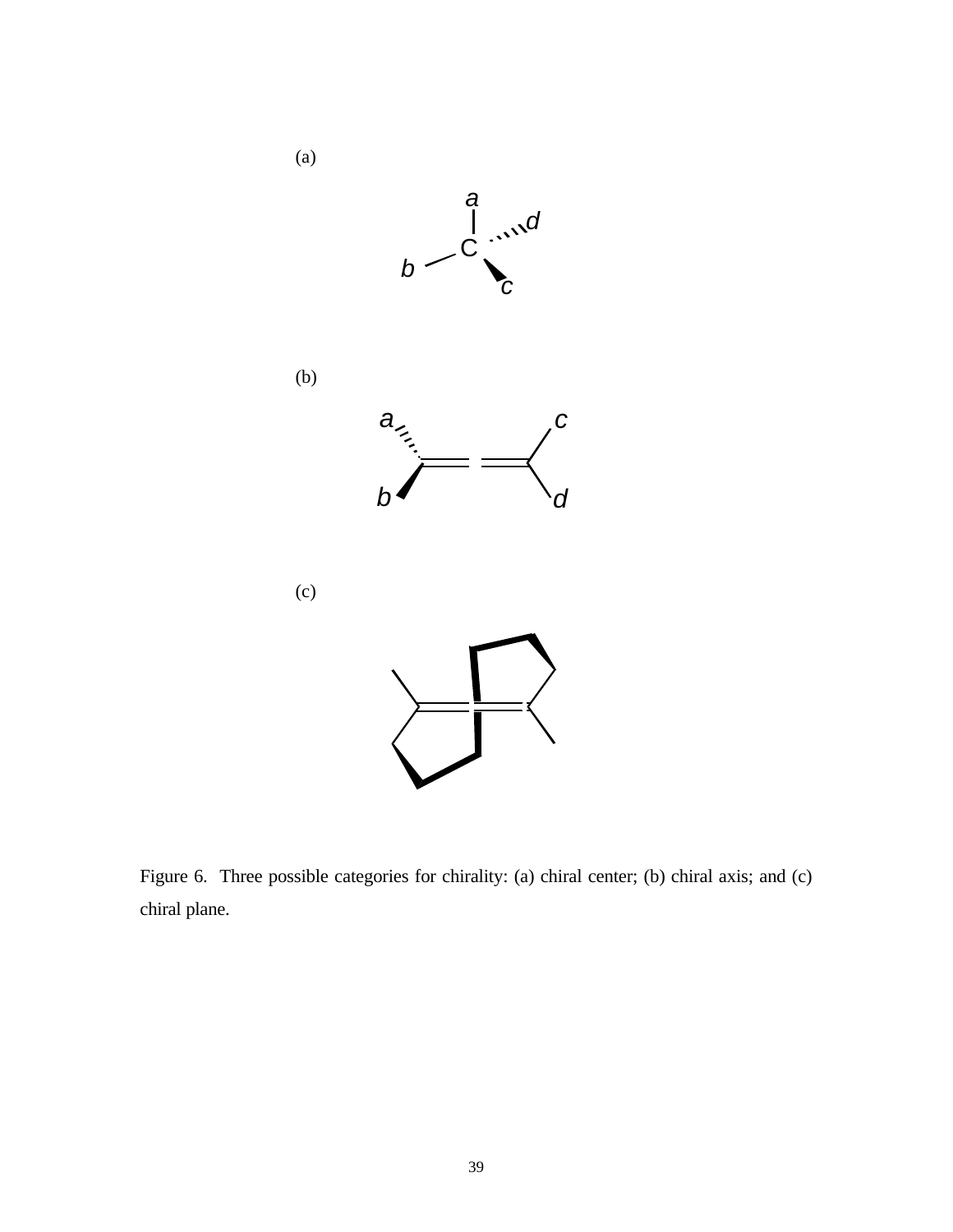

Figure 6. Three possible categories for chirality: (a) chiral center; (b) chiral axis; and (c) chiral plane.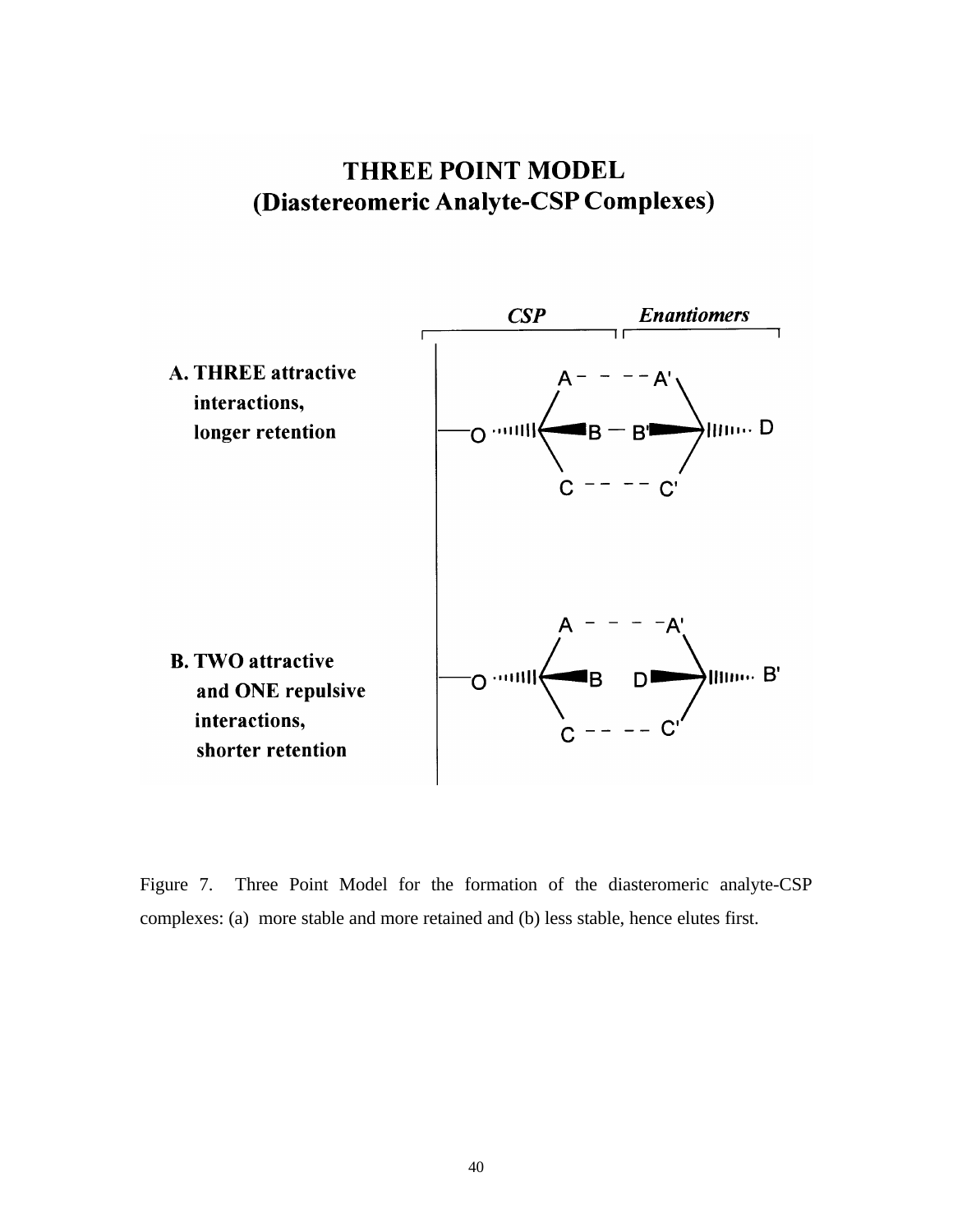# **THREE POINT MODEL** (Diastereomeric Analyte-CSP Complexes)



Figure 7. Three Point Model for the formation of the diasteromeric analyte-CSP complexes: (a) more stable and more retained and (b) less stable, hence elutes first.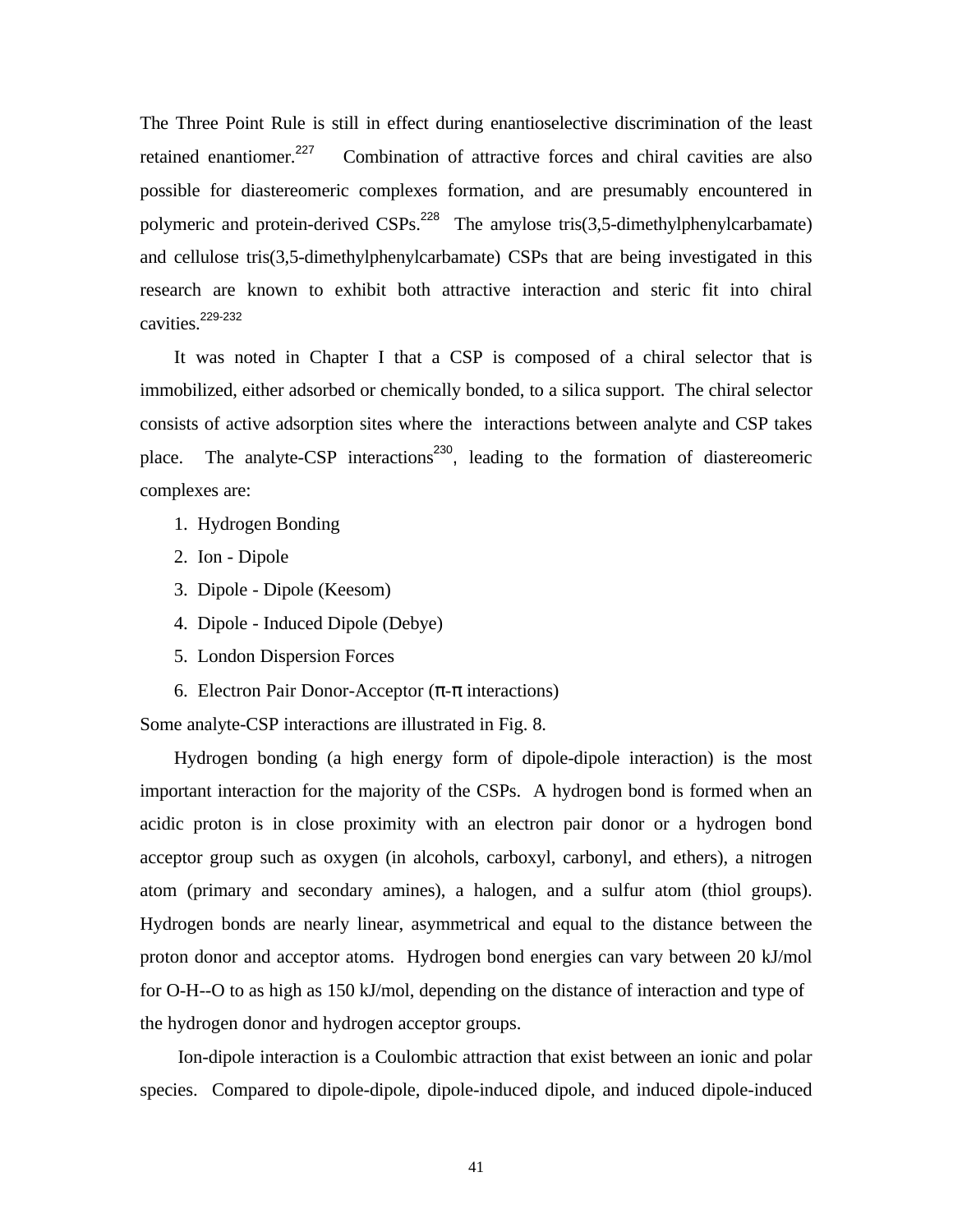The Three Point Rule is still in effect during enantioselective discrimination of the least retained enantiomer.<sup>227</sup> Combination of attractive forces and chiral cavities are also possible for diastereomeric complexes formation, and are presumably encountered in polymeric and protein-derived  $CSPs$ <sup>228</sup> The amylose tris(3,5-dimethylphenylcarbamate) and cellulose tris(3,5-dimethylphenylcarbamate) CSPs that are being investigated in this research are known to exhibit both attractive interaction and steric fit into chiral cavities.<sup>229-232</sup>

 It was noted in Chapter I that a CSP is composed of a chiral selector that is immobilized, either adsorbed or chemically bonded, to a silica support. The chiral selector consists of active adsorption sites where the interactions between analyte and CSP takes place. The analyte-CSP interactions<sup>230</sup>, leading to the formation of diastereomeric complexes are:

- 1. Hydrogen Bonding
- 2. Ion Dipole
- 3. Dipole Dipole (Keesom)
- 4. Dipole Induced Dipole (Debye)
- 5. London Dispersion Forces
- 6. Electron Pair Donor-Acceptor  $(\pi$ - $\pi$  interactions)

Some analyte-CSP interactions are illustrated in Fig. 8.

 Hydrogen bonding (a high energy form of dipole-dipole interaction) is the most important interaction for the majority of the CSPs. A hydrogen bond is formed when an acidic proton is in close proximity with an electron pair donor or a hydrogen bond acceptor group such as oxygen (in alcohols, carboxyl, carbonyl, and ethers), a nitrogen atom (primary and secondary amines), a halogen, and a sulfur atom (thiol groups). Hydrogen bonds are nearly linear, asymmetrical and equal to the distance between the proton donor and acceptor atoms. Hydrogen bond energies can vary between 20 kJ/mol for O-H--O to as high as 150 kJ/mol, depending on the distance of interaction and type of the hydrogen donor and hydrogen acceptor groups.

 Ion-dipole interaction is a Coulombic attraction that exist between an ionic and polar species. Compared to dipole-dipole, dipole-induced dipole, and induced dipole-induced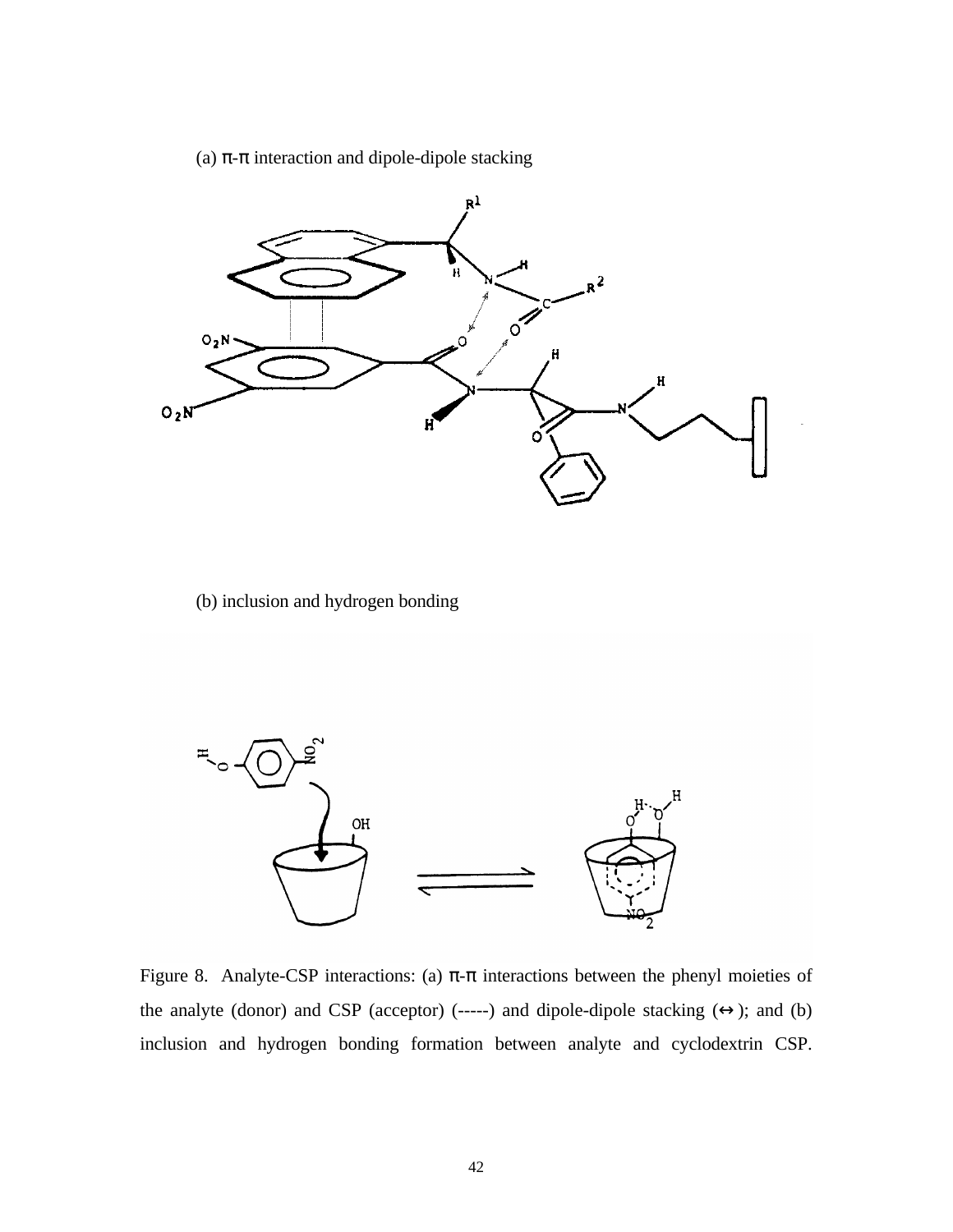(a) π-π interaction and dipole-dipole stacking



(b) inclusion and hydrogen bonding



Figure 8. Analyte-CSP interactions: (a)  $\pi$ - $\pi$  interactions between the phenyl moieties of the analyte (donor) and CSP (acceptor) (-----) and dipole-dipole stacking  $(\leftrightarrow)$ ; and (b) inclusion and hydrogen bonding formation between analyte and cyclodextrin CSP.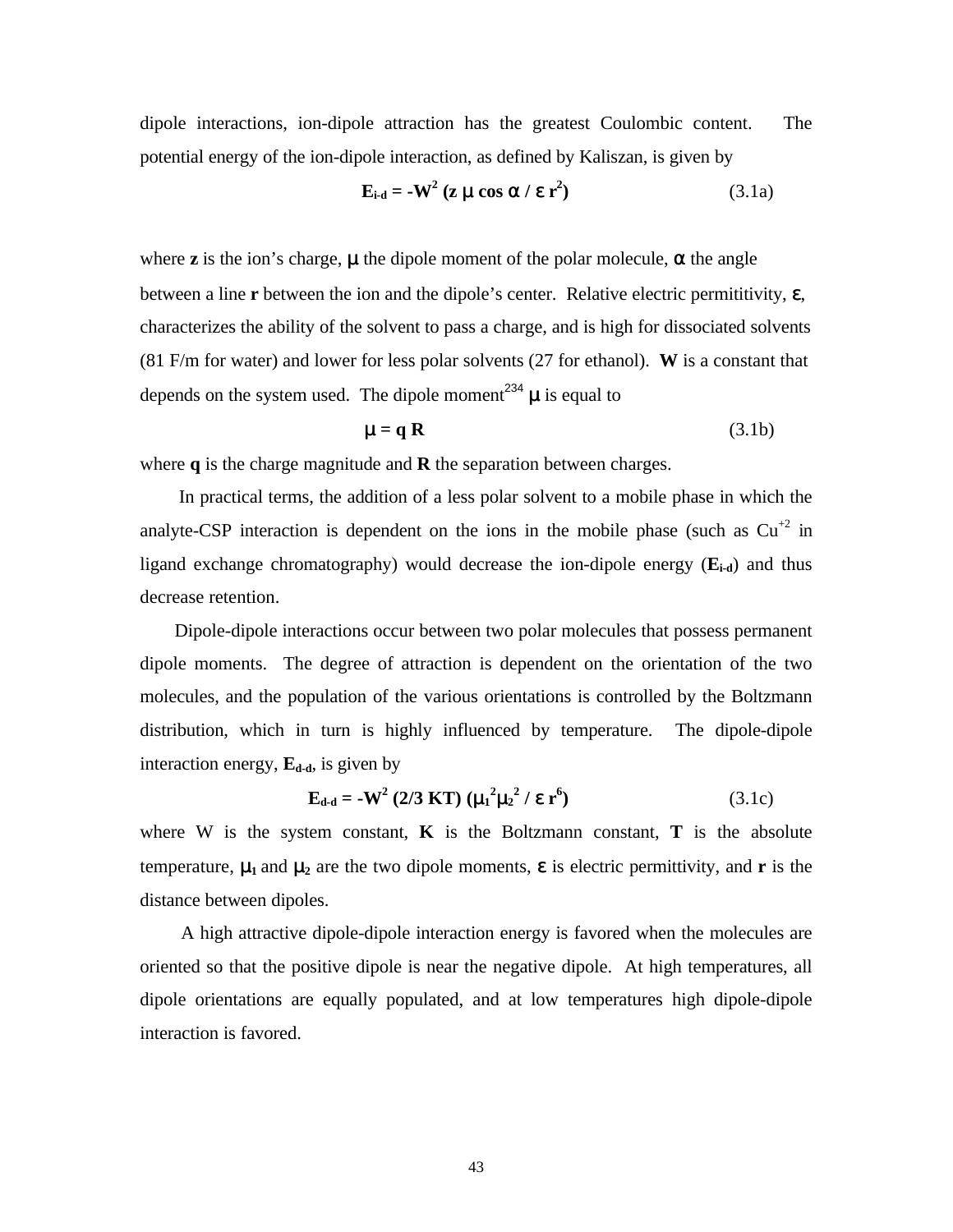dipole interactions, ion-dipole attraction has the greatest Coulombic content. The potential energy of the ion-dipole interaction, as defined by Kaliszan, is given by

$$
\mathbf{E}_{i\text{-}d} = -\mathbf{W}^2 \left( \mathbf{z} \mu \cos \alpha / \varepsilon \mathbf{r}^2 \right) \tag{3.1a}
$$

where **z** is the ion's charge,  $\mu$  the dipole moment of the polar molecule,  $\alpha$  the angle between a line **r** between the ion and the dipole's center. Relative electric permititivity, ε, characterizes the ability of the solvent to pass a charge, and is high for dissociated solvents (81 F/m for water) and lower for less polar solvents (27 for ethanol). **W** is a constant that depends on the system used. The dipole moment<sup>234</sup>  $\mu$  is equal to

$$
\mu = q \mathbf{R} \tag{3.1b}
$$

where **q** is the charge magnitude and **R** the separation between charges.

 In practical terms, the addition of a less polar solvent to a mobile phase in which the analyte-CSP interaction is dependent on the ions in the mobile phase (such as  $Cu^{2}$  in ligand exchange chromatography) would decrease the ion-dipole energy (**Ei-d**) and thus decrease retention.

 Dipole-dipole interactions occur between two polar molecules that possess permanent dipole moments. The degree of attraction is dependent on the orientation of the two molecules, and the population of the various orientations is controlled by the Boltzmann distribution, which in turn is highly influenced by temperature. The dipole-dipole interaction energy, **Ed-d**, is given by

$$
E_{d-d} = -W^2 (2/3 KT) (\mu_1^2 \mu_2^2 / \epsilon r^6)
$$
 (3.1c)

where W is the system constant,  $\bf{K}$  is the Boltzmann constant,  $\bf{T}$  is the absolute temperature,  $\mu_1$  and  $\mu_2$  are the two dipole moments,  $\epsilon$  is electric permittivity, and **r** is the distance between dipoles.

 A high attractive dipole-dipole interaction energy is favored when the molecules are oriented so that the positive dipole is near the negative dipole. At high temperatures, all dipole orientations are equally populated, and at low temperatures high dipole-dipole interaction is favored.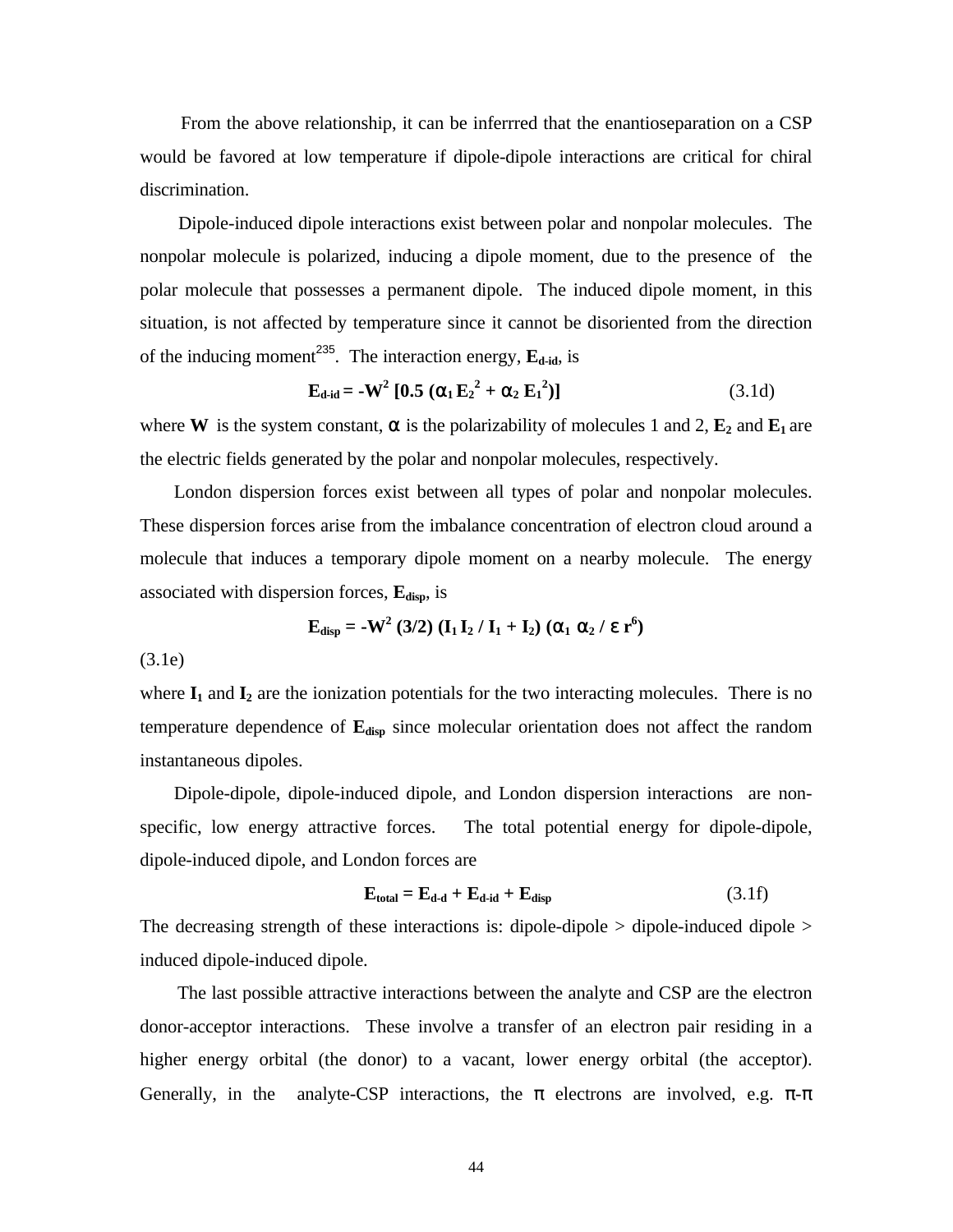From the above relationship, it can be inferrred that the enantioseparation on a CSP would be favored at low temperature if dipole-dipole interactions are critical for chiral discrimination.

 Dipole-induced dipole interactions exist between polar and nonpolar molecules. The nonpolar molecule is polarized, inducing a dipole moment, due to the presence of the polar molecule that possesses a permanent dipole. The induced dipole moment, in this situation, is not affected by temperature since it cannot be disoriented from the direction of the inducing moment<sup>235</sup>. The interaction energy,  $\mathbf{E}_{\text{d-id}}$ , is

$$
\mathbf{E}_{\text{d-id}} = -\mathbf{W}^2 \left[ \mathbf{0.5} \left( \alpha_1 \mathbf{E}_2^2 + \alpha_2 \mathbf{E}_1^2 \right) \right] \tag{3.1d}
$$

where **W** is the system constant,  $\alpha$  is the polarizability of molecules 1 and 2,  $\mathbf{E}_2$  and  $\mathbf{E}_1$  are the electric fields generated by the polar and nonpolar molecules, respectively.

 London dispersion forces exist between all types of polar and nonpolar molecules. These dispersion forces arise from the imbalance concentration of electron cloud around a molecule that induces a temporary dipole moment on a nearby molecule. The energy associated with dispersion forces, **Edisp**, is

$$
\mathbf{E}_{\text{disp}} = -\mathbf{W}^2 \ (3/2) \ (\mathbf{I}_1 \mathbf{I}_2 / \mathbf{I}_1 + \mathbf{I}_2) \ (\alpha_1 \alpha_2 / \epsilon \ \mathbf{r}^6)
$$

(3.1e)

where  $I_1$  and  $I_2$  are the ionization potentials for the two interacting molecules. There is no temperature dependence of **Edisp** since molecular orientation does not affect the random instantaneous dipoles.

 Dipole-dipole, dipole-induced dipole, and London dispersion interactions are nonspecific, low energy attractive forces. The total potential energy for dipole-dipole, dipole-induced dipole, and London forces are

$$
\mathbf{E}_{\text{total}} = \mathbf{E}_{\text{d-d}} + \mathbf{E}_{\text{d-id}} + \mathbf{E}_{\text{disp}} \tag{3.1f}
$$

The decreasing strength of these interactions is: dipole-dipole > dipole-induced dipole > induced dipole-induced dipole.

 The last possible attractive interactions between the analyte and CSP are the electron donor-acceptor interactions. These involve a transfer of an electron pair residing in a higher energy orbital (the donor) to a vacant, lower energy orbital (the acceptor). Generally, in the analyte-CSP interactions, the  $\pi$  electrons are involved, e.g.  $\pi$ - $\pi$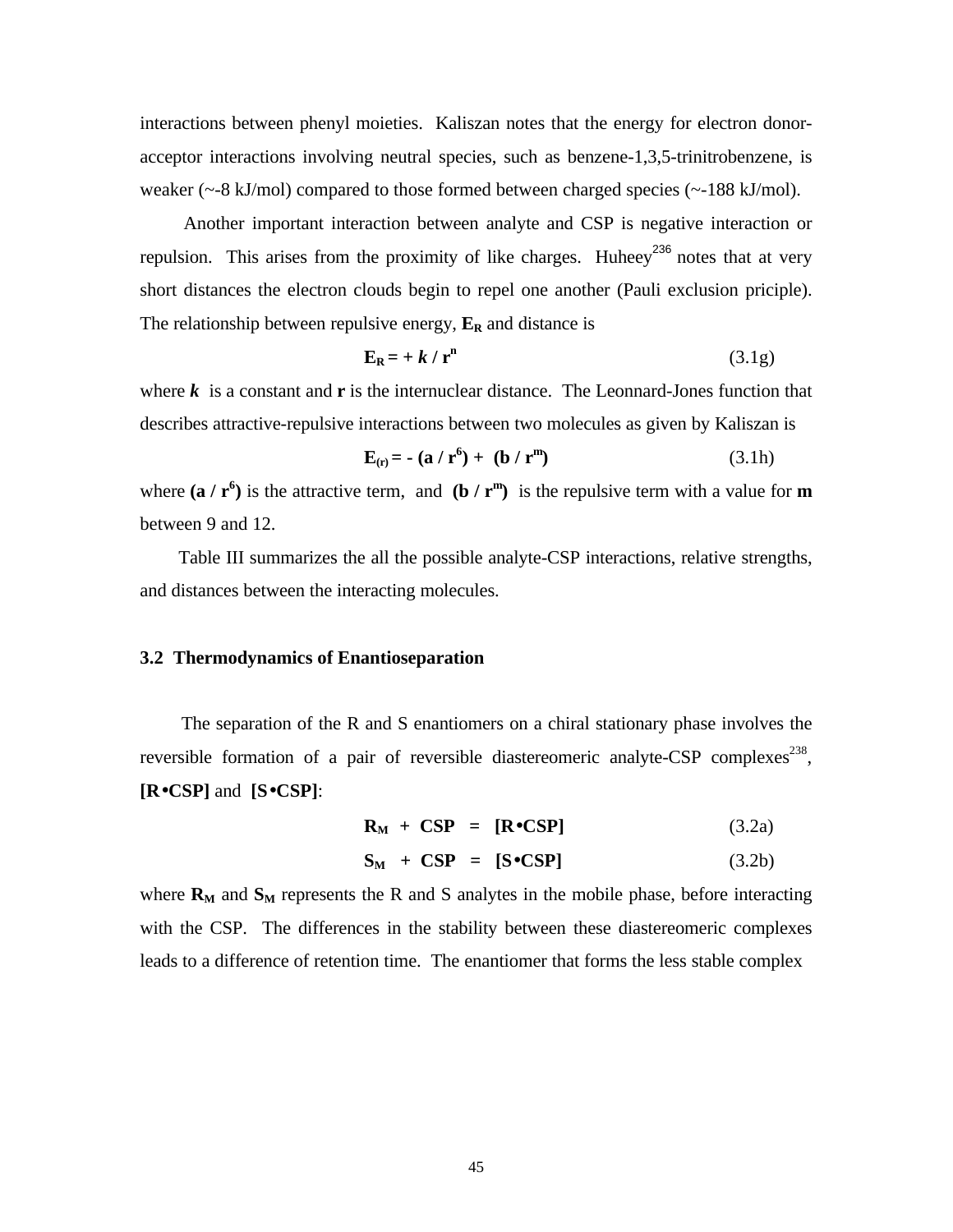interactions between phenyl moieties. Kaliszan notes that the energy for electron donoracceptor interactions involving neutral species, such as benzene-1,3,5-trinitrobenzene, is weaker  $(\sim 8 \text{ kJ/mol})$  compared to those formed between charged species  $(\sim 188 \text{ kJ/mol})$ .

 Another important interaction between analyte and CSP is negative interaction or repulsion. This arises from the proximity of like charges. Huheey<sup>236</sup> notes that at very short distances the electron clouds begin to repel one another (Pauli exclusion priciple). The relationship between repulsive energy,  $\mathbf{E}_R$  and distance is

$$
\mathbf{E}_{\mathbf{R}} = +k/r^{\mathbf{n}} \tag{3.1g}
$$

where  $\bf{k}$  is a constant and  $\bf{r}$  is the internuclear distance. The Leonnard-Jones function that describes attractive-repulsive interactions between two molecules as given by Kaliszan is

$$
\mathbf{E}_{(\mathbf{r})} = -(\mathbf{a} / \mathbf{r}^6) + (\mathbf{b} / \mathbf{r}^m) \tag{3.1h}
$$

where  $(\mathbf{a} / \mathbf{r}^6)$  is the attractive term, and  $(\mathbf{b} / \mathbf{r}^m)$  is the repulsive term with a value for **m** between 9 and 12.

 Table III summarizes the all the possible analyte-CSP interactions, relative strengths, and distances between the interacting molecules.

### **3.2 Thermodynamics of Enantioseparation**

 The separation of the R and S enantiomers on a chiral stationary phase involves the reversible formation of a pair of reversible diastereomeric analyte-CSP complexes<sup>238</sup>, **[R**•**CSP]** and **[S**•**CSP]**:

$$
\mathbf{R}_{\mathrm{M}} + \mathbf{CSP} = [\mathbf{R} \bullet \mathbf{CSP}] \tag{3.2a}
$$

$$
\mathbf{S}_{\mathbf{M}} + \mathbf{CSP} = [\mathbf{S} \bullet \mathbf{CSP}] \tag{3.2b}
$$

where  $\mathbf{R}_M$  and  $\mathbf{S}_M$  represents the R and S analytes in the mobile phase, before interacting with the CSP. The differences in the stability between these diastereomeric complexes leads to a difference of retention time. The enantiomer that forms the less stable complex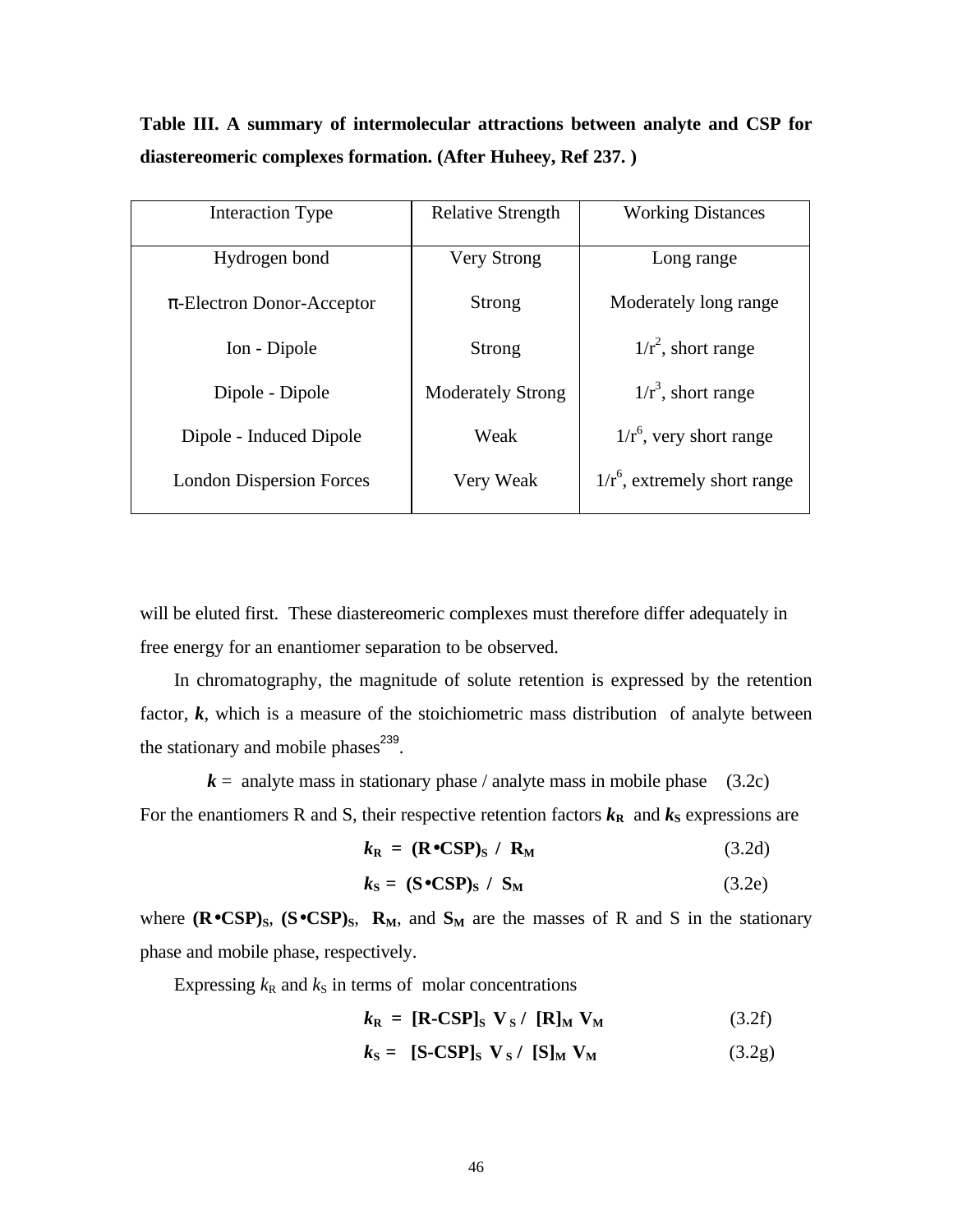**Table III. A summary of intermolecular attractions between analyte and CSP for diastereomeric complexes formation. (After Huheey, Ref 237. )**

| Interaction Type                | <b>Relative Strength</b> | <b>Working Distances</b>        |
|---------------------------------|--------------------------|---------------------------------|
| Hydrogen bond                   | <b>Very Strong</b>       | Long range                      |
| $\pi$ -Electron Donor-Acceptor  | Strong                   | Moderately long range           |
| Ion - Dipole                    | Strong                   | $1/r^2$ , short range           |
| Dipole - Dipole                 | <b>Moderately Strong</b> | $1/r^3$ , short range           |
| Dipole - Induced Dipole         | Weak                     | $1/r^6$ , very short range      |
| <b>London Dispersion Forces</b> | Very Weak                | $1/r^6$ , extremely short range |

will be eluted first. These diastereomeric complexes must therefore differ adequately in free energy for an enantiomer separation to be observed.

 In chromatography, the magnitude of solute retention is expressed by the retention factor,  $k$ , which is a measure of the stoichiometric mass distribution of analyte between the stationary and mobile phases $^{239}$ .

 $k =$  analyte mass in stationary phase / analyte mass in mobile phase (3.2c) For the enantiomers R and S, their respective retention factors  $k_{\text{R}}$  and  $k_{\text{S}}$  expressions are

$$
k_{\rm R} = (\text{R} \bullet \text{CSP})_{\rm S} / \text{R}_{\rm M} \tag{3.2d}
$$

$$
k_{\rm S} = (\mathbf{S} \bullet \mathbf{C} \mathbf{S} \mathbf{P})_{\rm S} / \mathbf{S}_{\rm M}
$$
 (3.2e)

where  $(\mathbf{R} \bullet \mathbf{CSP})$ <sub>S</sub>,  $(\mathbf{S} \bullet \mathbf{CSP})$ <sub>S</sub>,  $\mathbf{R}_M$ , and  $\mathbf{S}_M$  are the masses of R and S in the stationary phase and mobile phase, respectively.

Expressing  $k_R$  and  $k_S$  in terms of molar concentrations

$$
k_{\rm R} = [\text{R-CSP}]_{\rm S} \ \mathbf{V}_{\rm S} / [\text{R}]_{\rm M} \ \mathbf{V}_{\rm M} \tag{3.2f}
$$

$$
k_{\rm S} = \text{[S-CSP]}_{\rm S} \ \mathbf{V}_{\rm S} / \text{[S]}_{\rm M} \ \mathbf{V}_{\rm M} \tag{3.2g}
$$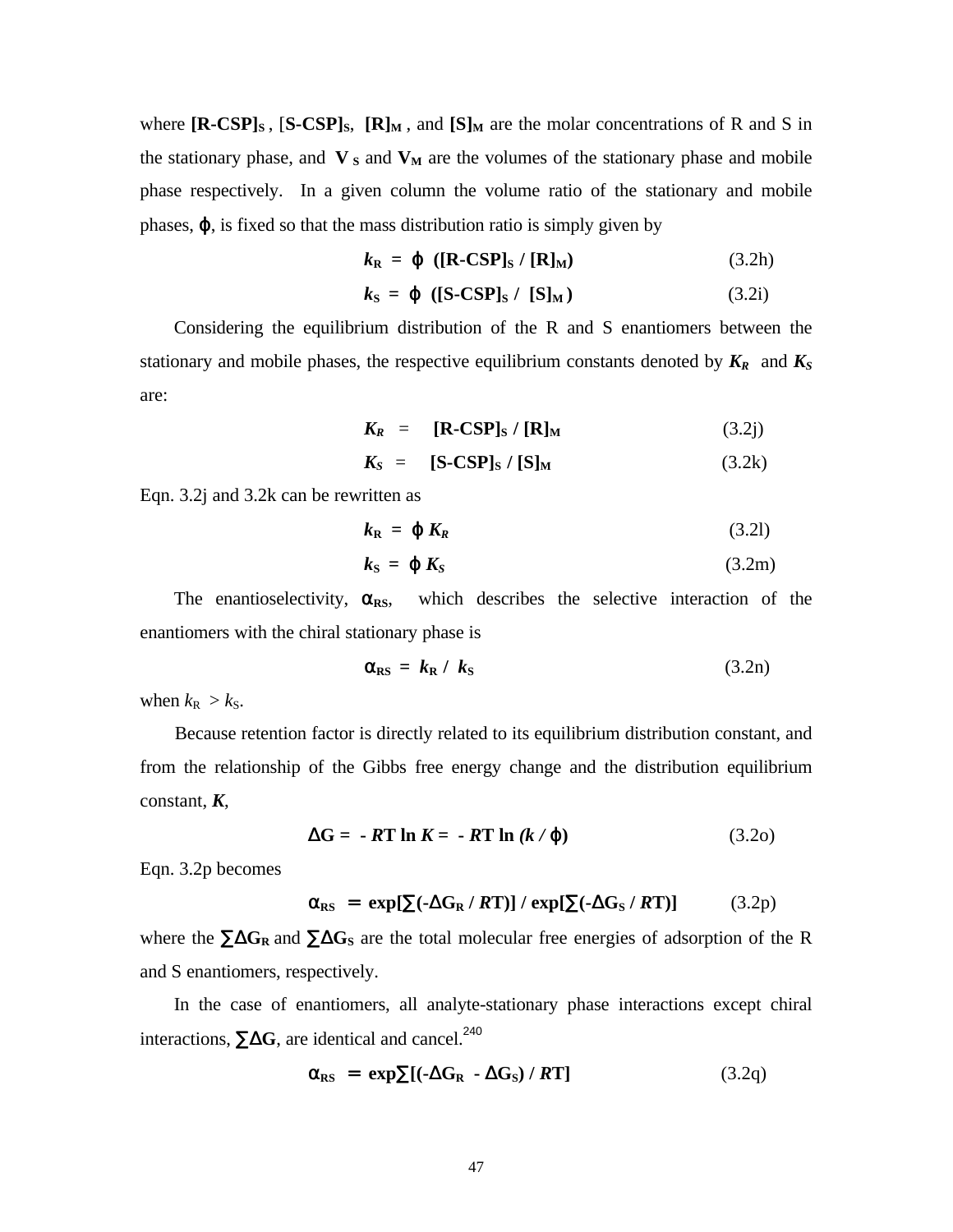where  $[R\text{-}CSP]_S$ ,  $[S\text{-}CSP]_S$ ,  $[R]_M$ , and  $[S]_M$  are the molar concentrations of R and S in the stationary phase, and  $V_s$  and  $V_M$  are the volumes of the stationary phase and mobile phase respectively. In a given column the volume ratio of the stationary and mobile phases,  $\varphi$ , is fixed so that the mass distribution ratio is simply given by

$$
k_{\mathbf{R}} = \varphi \left( [\mathbf{R} - \mathbf{CSP}]_{\mathbf{S}} / [\mathbf{R}]_{\mathbf{M}} \right) \tag{3.2h}
$$

$$
k_{\rm S} = \varphi \quad \text{([S-CSP]}_{\rm S} / \text{ [S]}_{\rm M}) \tag{3.2i}
$$

 Considering the equilibrium distribution of the R and S enantiomers between the stationary and mobile phases, the respective equilibrium constants denoted by *KR* and *K<sup>S</sup>* are:

$$
K_R = [\mathbf{R}\text{-CSP}]_{\text{S}} / [\mathbf{R}]_{\text{M}} \tag{3.2j}
$$

$$
K_S = [S-CSP]_S / [S]_M \qquad (3.2k)
$$

Eqn. 3.2j and 3.2k can be rewritten as

$$
k_{\mathbf{R}} = \boldsymbol{\varphi} \, K_{R} \tag{3.21}
$$

$$
k_{\rm S} = \varphi \, K_{\rm S} \tag{3.2m}
$$

The enantioselectivity,  $\alpha_{RS}$ , which describes the selective interaction of the enantiomers with the chiral stationary phase is

$$
\alpha_{\rm RS} = k_{\rm R} / k_{\rm S} \tag{3.2n}
$$

when  $k_{\rm R} > k_{\rm S}$ .

 Because retention factor is directly related to its equilibrium distribution constant, and from the relationship of the Gibbs free energy change and the distribution equilibrium constant, *K*,

$$
\Delta G = -RT \ln K = -RT \ln (k/\varphi) \tag{3.20}
$$

Eqn. 3.2p becomes

$$
\alpha_{RS} = \exp[\sum(-\Delta G_R / RT)] / \exp[\sum(-\Delta G_S / RT)] \tag{3.2p}
$$

where the ∑Δ**G<sup>R</sup>** and ∑Δ**GS** are the total molecular free energies of adsorption of the R and S enantiomers, respectively.

 In the case of enantiomers, all analyte-stationary phase interactions except chiral interactions,  $\Sigma \Delta G$ , are identical and cancel.<sup>240</sup>

$$
\alpha_{RS} = \exp\sum [(-\Delta G_R - \Delta G_S) / RT] \tag{3.2q}
$$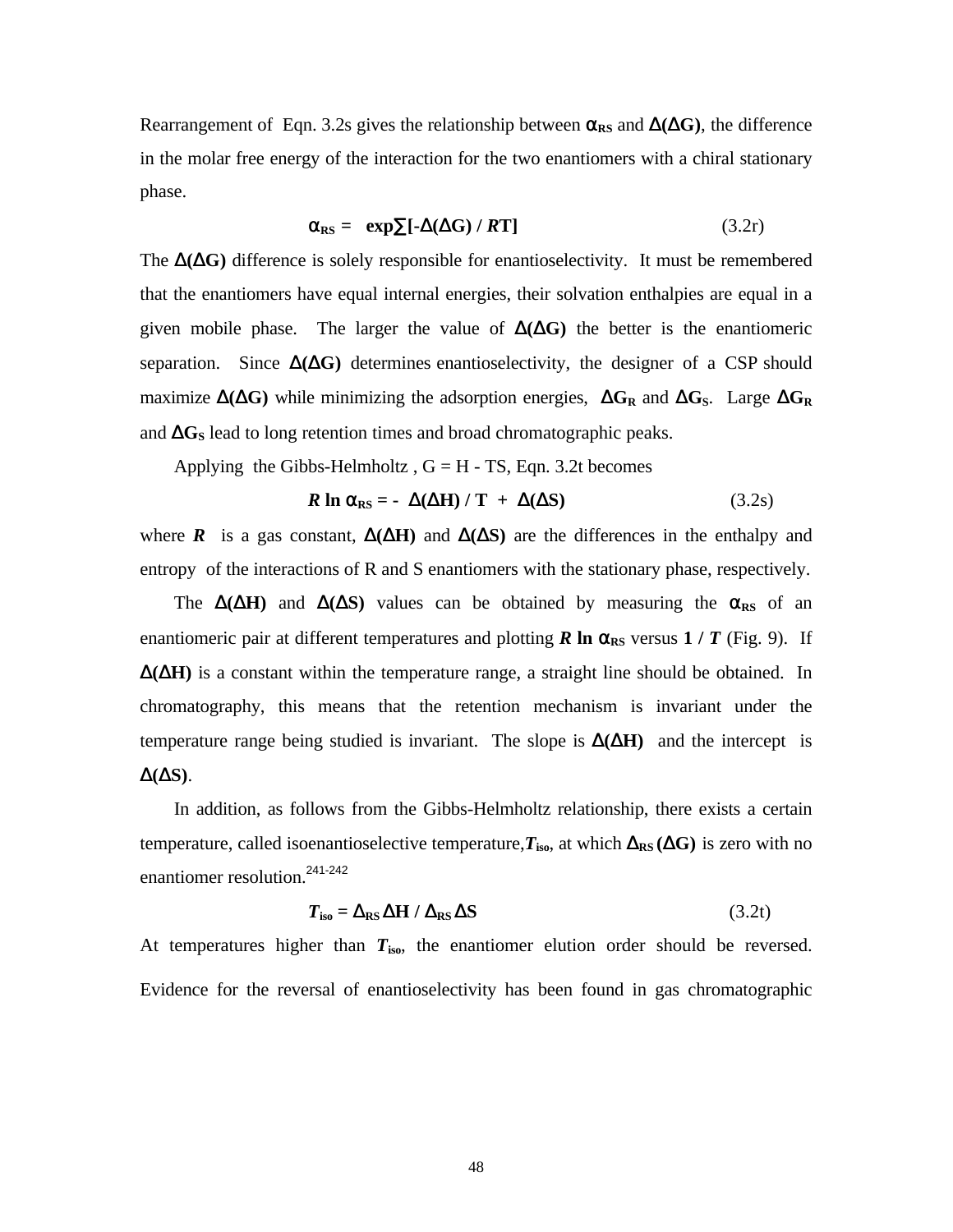Rearrangement of Eqn. 3.2s gives the relationship between  $\alpha_{RS}$  and  $\Delta(\Delta G)$ , the difference in the molar free energy of the interaction for the two enantiomers with a chiral stationary phase.

$$
\alpha_{RS} = \exp \sum [\Delta(\Delta G) / RT] \tag{3.2r}
$$

The  $\Delta(\Delta G)$  difference is solely responsible for enantioselectivity. It must be remembered that the enantiomers have equal internal energies, their solvation enthalpies are equal in a given mobile phase. The larger the value of  $\Delta(\Delta G)$  the better is the enantiomeric separation. Since  $\Delta(\Delta G)$  determines enantioselectivity, the designer of a CSP should maximize Δ**(**Δ**G)** while minimizing the adsorption energies, Δ**G<sup>R</sup>** and Δ**GS**. Large Δ**G<sup>R</sup>** and  $\Delta G_s$  lead to long retention times and broad chromatographic peaks.

Applying the Gibbs-Helmholtz,  $G = H - TS$ , Eqn. 3.2t becomes

$$
R \ln \alpha_{\text{RS}} = -\Delta(\Delta H) / T + \Delta(\Delta S) \tag{3.2s}
$$

where **R** is a gas constant,  $\Delta(\Delta H)$  and  $\Delta(\Delta S)$  are the differences in the enthalpy and entropy of the interactions of R and S enantiomers with the stationary phase, respectively.

The  $\Delta(\Delta H)$  and  $\Delta(\Delta S)$  values can be obtained by measuring the  $\alpha_{RS}$  of an enantiomeric pair at different temperatures and plotting **R** ln  $\alpha_{RS}$  versus 1 / **T** (Fig. 9). If  $\Delta(\Delta H)$  is a constant within the temperature range, a straight line should be obtained. In chromatography, this means that the retention mechanism is invariant under the temperature range being studied is invariant. The slope is  $\Delta(\Delta H)$  and the intercept is Δ**(**Δ**S)**.

 In addition, as follows from the Gibbs-Helmholtz relationship, there exists a certain temperature, called isoenantioselective temperature, $T_{\text{iso}}$ , at which  $\Delta_{\text{RS}}(\Delta G)$  is zero with no enantiomer resolution.241-242

$$
T_{\text{iso}} = \Delta_{\text{RS}} \Delta H / \Delta_{\text{RS}} \Delta S \tag{3.2t}
$$

At temperatures higher than  $T_{iso}$ , the enantiomer elution order should be reversed. Evidence for the reversal of enantioselectivity has been found in gas chromatographic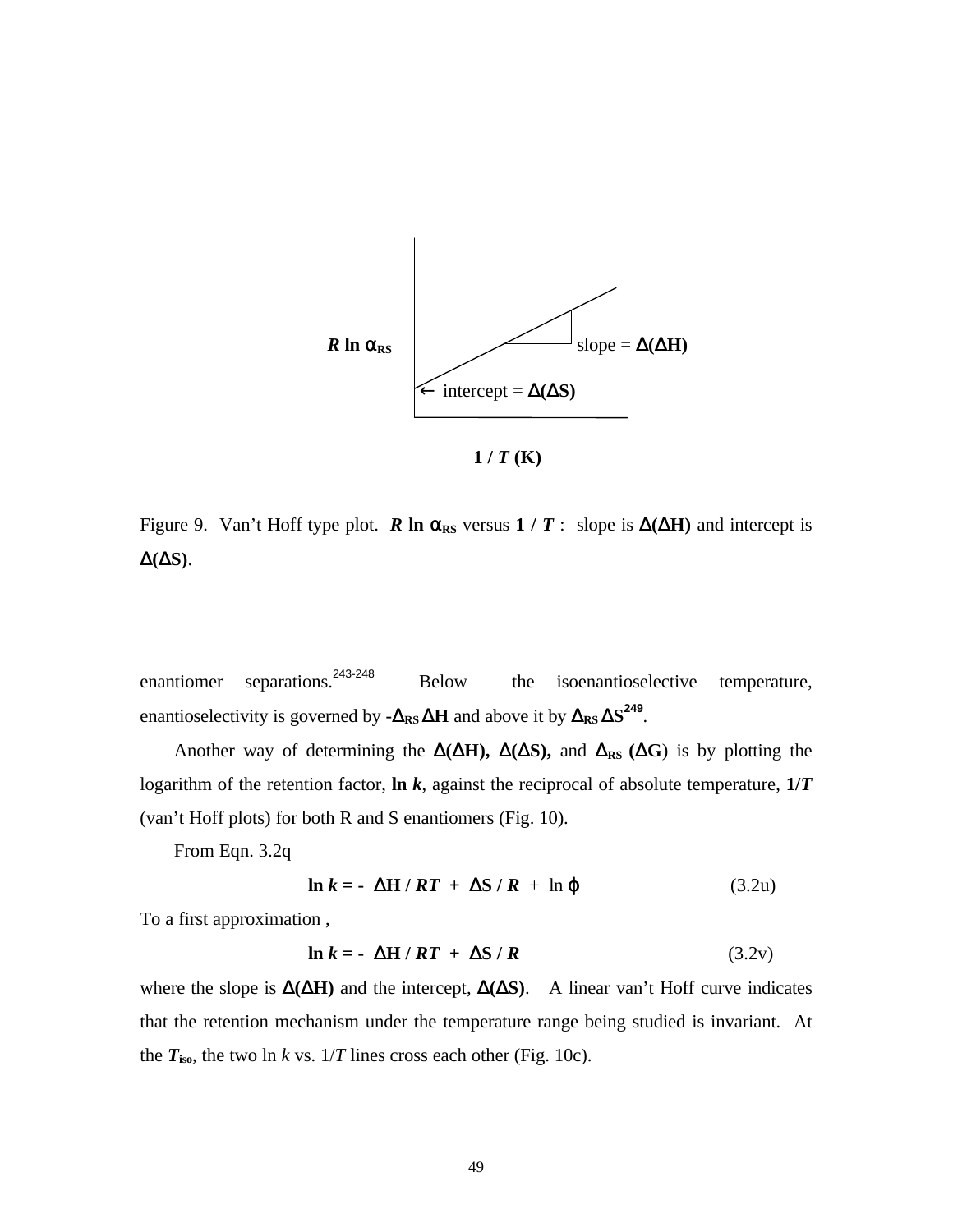

 $1/T(K)$ 

Figure 9. Van't Hoff type plot. **R** ln  $\alpha_{RS}$  versus 1 / **T** : slope is  $\Delta(\Delta H)$  and intercept is  $Δ(ΔS)$ .

enantiomer separations.<sup>243-248</sup> Below the isoenantioselective temperature, enantioselectivity is governed by  $-\Delta_{RS} \Delta H$  and above it by  $\Delta_{RS} \Delta S^{249}$ .

Another way of determining the  $\Delta(\Delta H)$ ,  $\Delta(\Delta S)$ , and  $\Delta_{RS}(\Delta G)$  is by plotting the logarithm of the retention factor, **ln** *k*, against the reciprocal of absolute temperature, **1/***T* (van't Hoff plots) for both R and S enantiomers (Fig. 10).

From Eqn. 3.2q

$$
\ln k = -\Delta H /RT + \Delta S / R + \ln \varphi \tag{3.2u}
$$

To a first approximation ,

$$
\ln k = -\Delta H / RT + \Delta S / R \qquad (3.2v)
$$

where the slope is  $\Delta(\Delta H)$  and the intercept,  $\Delta(\Delta S)$ . A linear van't Hoff curve indicates that the retention mechanism under the temperature range being studied is invariant. At the  $T_{\text{iso}}$ , the two  $\ln k$  vs.  $1/T$  lines cross each other (Fig. 10c).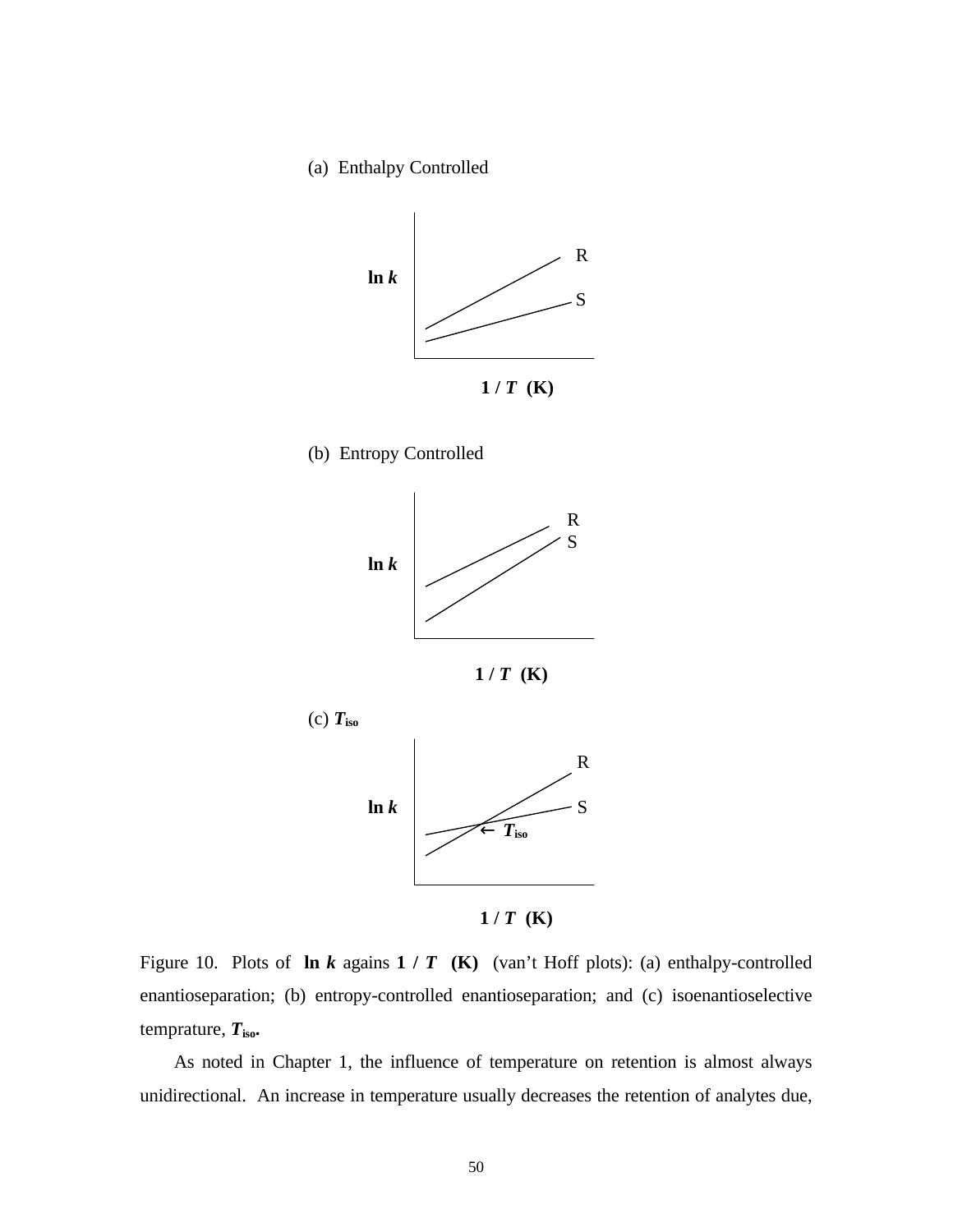(a) Enthalpy Controlled











 $1/T$  **(K)** 

Figure 10. Plots of **ln** *k* agains **1 /** *T* **(K)** (van't Hoff plots): (a) enthalpy-controlled enantioseparation; (b) entropy-controlled enantioseparation; and (c) isoenantioselective temprature,  $T_{\text{iso}}$ 

 As noted in Chapter 1, the influence of temperature on retention is almost always unidirectional. An increase in temperature usually decreases the retention of analytes due,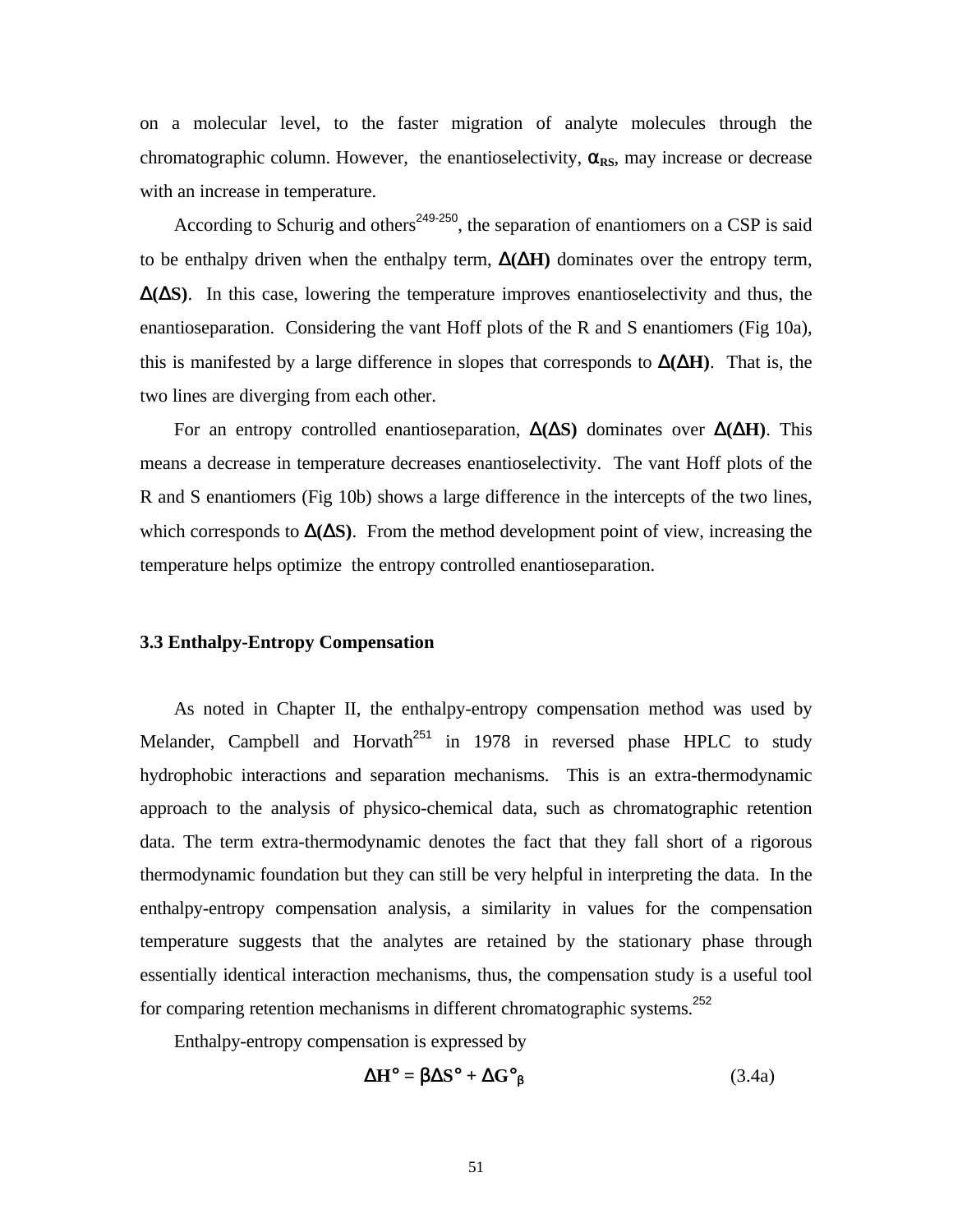on a molecular level, to the faster migration of analyte molecules through the chromatographic column. However, the enantioselectivity,  $\alpha_{RS}$ , may increase or decrease with an increase in temperature.

According to Schurig and others<sup>249-250</sup>, the separation of enantiomers on a CSP is said to be enthalpy driven when the enthalpy term,  $\Delta(\Delta H)$  dominates over the entropy term,  $\Delta(\Delta S)$ . In this case, lowering the temperature improves enantioselectivity and thus, the enantioseparation. Considering the vant Hoff plots of the R and S enantiomers (Fig 10a), this is manifested by a large difference in slopes that corresponds to  $\Delta(\Delta H)$ . That is, the two lines are diverging from each other.

 For an entropy controlled enantioseparation, Δ**(**Δ**S)** dominates over Δ**(**Δ**H)**. This means a decrease in temperature decreases enantioselectivity. The vant Hoff plots of the R and S enantiomers (Fig 10b) shows a large difference in the intercepts of the two lines, which corresponds to  $\Delta(\Delta S)$ . From the method development point of view, increasing the temperature helps optimize the entropy controlled enantioseparation.

#### **3.3 Enthalpy-Entropy Compensation**

 As noted in Chapter II, the enthalpy-entropy compensation method was used by Melander, Campbell and Horvath<sup>251</sup> in 1978 in reversed phase HPLC to study hydrophobic interactions and separation mechanisms. This is an extra-thermodynamic approach to the analysis of physico-chemical data, such as chromatographic retention data. The term extra-thermodynamic denotes the fact that they fall short of a rigorous thermodynamic foundation but they can still be very helpful in interpreting the data. In the enthalpy-entropy compensation analysis, a similarity in values for the compensation temperature suggests that the analytes are retained by the stationary phase through essentially identical interaction mechanisms, thus, the compensation study is a useful tool for comparing retention mechanisms in different chromatographic systems.<sup>252</sup>

Enthalpy-entropy compensation is expressed by

$$
\Delta H^{\circ} = \beta \Delta S^{\circ} + \Delta G^{\circ}{}_{\beta} \tag{3.4a}
$$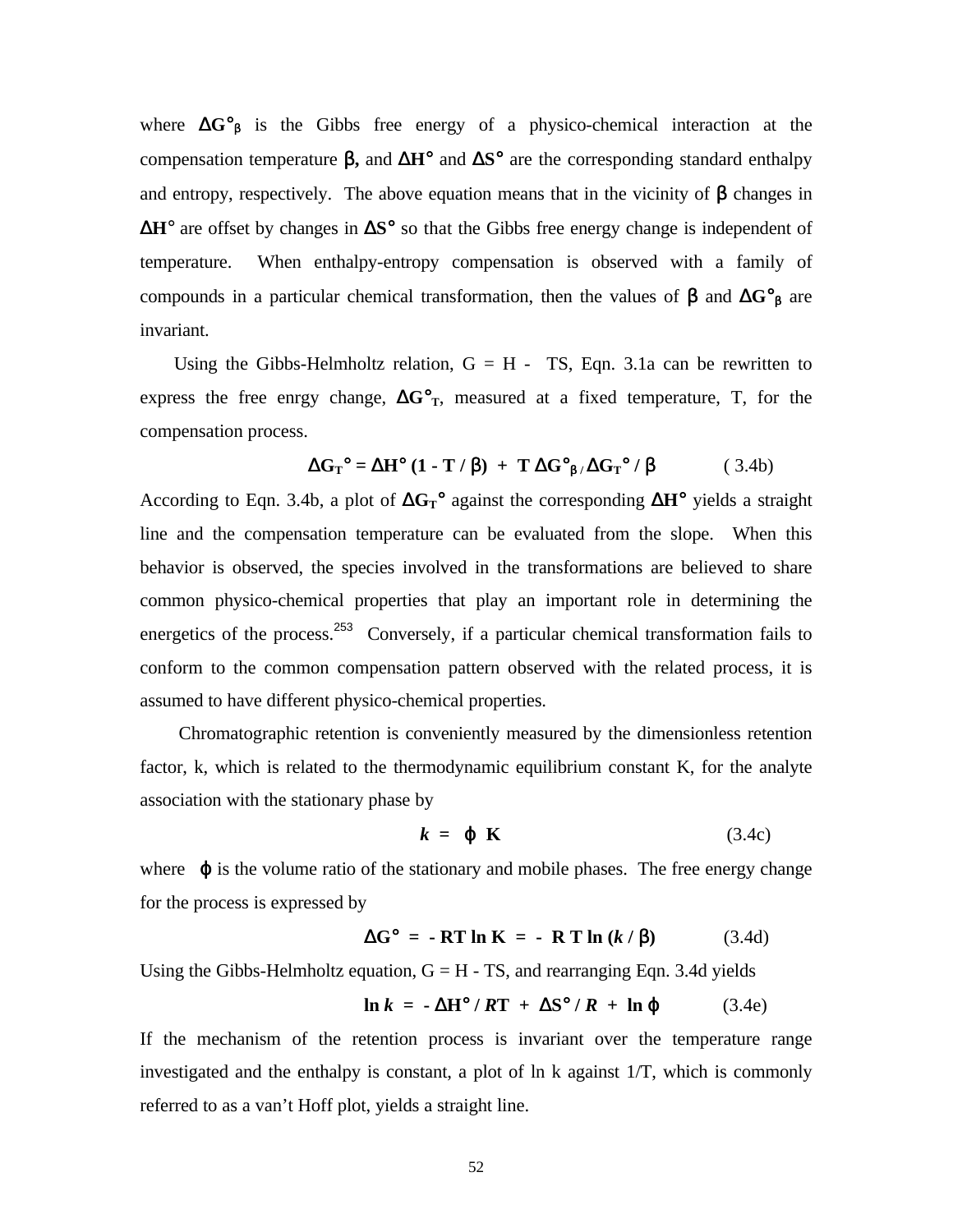where  $\Delta G^{\circ}_{\beta}$  is the Gibbs free energy of a physico-chemical interaction at the compensation temperature β**,** and Δ**H**° and Δ**S**° are the corresponding standard enthalpy and entropy, respectively. The above equation means that in the vicinity of  $\beta$  changes in Δ**H**° are offset by changes in Δ**S**° so that the Gibbs free energy change is independent of temperature. When enthalpy-entropy compensation is observed with a family of compounds in a particular chemical transformation, then the values of β and Δ**G**°β are invariant.

Using the Gibbs-Helmholtz relation,  $G = H - TS$ , Eqn. 3.1a can be rewritten to express the free enrgy change,  $\Delta G^{\circ}_{T}$ , measured at a fixed temperature, T, for the compensation process.

$$
\Delta G_{\text{T}}^{\circ} = \Delta H^{\circ} (1 - T / \beta) + T \Delta G^{\circ}_{\beta} / \Delta G_{\text{T}}^{\circ} / \beta \tag{3.4b}
$$

According to Eqn. 3.4b, a plot of Δ**GT**° against the corresponding Δ**H**° yields a straight line and the compensation temperature can be evaluated from the slope. When this behavior is observed, the species involved in the transformations are believed to share common physico-chemical properties that play an important role in determining the energetics of the process.<sup>253</sup> Conversely, if a particular chemical transformation fails to conform to the common compensation pattern observed with the related process, it is assumed to have different physico-chemical properties.

 Chromatographic retention is conveniently measured by the dimensionless retention factor, k, which is related to the thermodynamic equilibrium constant K, for the analyte association with the stationary phase by

$$
k = \varphi \mathbf{K} \tag{3.4c}
$$

where  $\phi$  is the volume ratio of the stationary and mobile phases. The free energy change for the process is expressed by

$$
\Delta G^{\circ} = -RT \ln K = -RT \ln (k/\beta) \tag{3.4d}
$$

Using the Gibbs-Helmholtz equation,  $G = H - TS$ , and rearranging Eqn. 3.4d yields

$$
\ln k = -\Delta H^{\circ} / RT + \Delta S^{\circ} / R + \ln \varphi \tag{3.4e}
$$

If the mechanism of the retention process is invariant over the temperature range investigated and the enthalpy is constant, a plot of ln k against 1/T, which is commonly referred to as a van't Hoff plot, yields a straight line.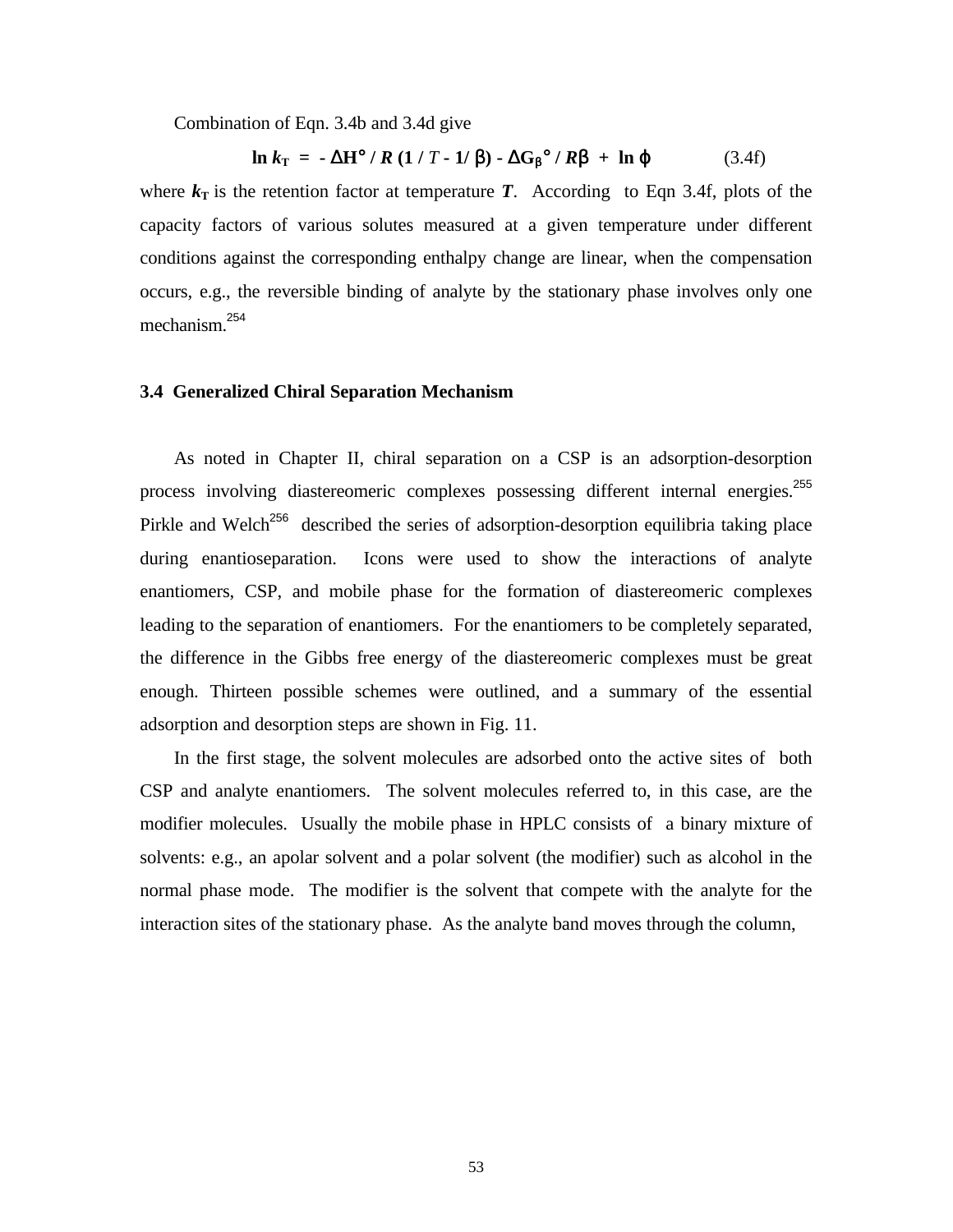Combination of Eqn. 3.4b and 3.4d give

$$
\ln k_{\rm T} = -\Delta H^{\circ} / R (1 / T - 1 / \beta) - \Delta G_{\beta}^{\circ} / R \mathbf{b} + \ln \varphi \tag{3.4f}
$$

where  $k<sub>T</sub>$  is the retention factor at temperature *T*. According to Eqn 3.4f, plots of the capacity factors of various solutes measured at a given temperature under different conditions against the corresponding enthalpy change are linear, when the compensation occurs, e.g., the reversible binding of analyte by the stationary phase involves only one mechanism.<sup>254</sup>

#### **3.4 Generalized Chiral Separation Mechanism**

 As noted in Chapter II, chiral separation on a CSP is an adsorption-desorption process involving diastereomeric complexes possessing different internal energies.<sup>255</sup> Pirkle and Welch<sup>256</sup> described the series of adsorption-desorption equilibria taking place during enantioseparation. Icons were used to show the interactions of analyte enantiomers, CSP, and mobile phase for the formation of diastereomeric complexes leading to the separation of enantiomers. For the enantiomers to be completely separated, the difference in the Gibbs free energy of the diastereomeric complexes must be great enough. Thirteen possible schemes were outlined, and a summary of the essential adsorption and desorption steps are shown in Fig. 11.

 In the first stage, the solvent molecules are adsorbed onto the active sites of both CSP and analyte enantiomers. The solvent molecules referred to, in this case, are the modifier molecules. Usually the mobile phase in HPLC consists of a binary mixture of solvents: e.g., an apolar solvent and a polar solvent (the modifier) such as alcohol in the normal phase mode. The modifier is the solvent that compete with the analyte for the interaction sites of the stationary phase. As the analyte band moves through the column,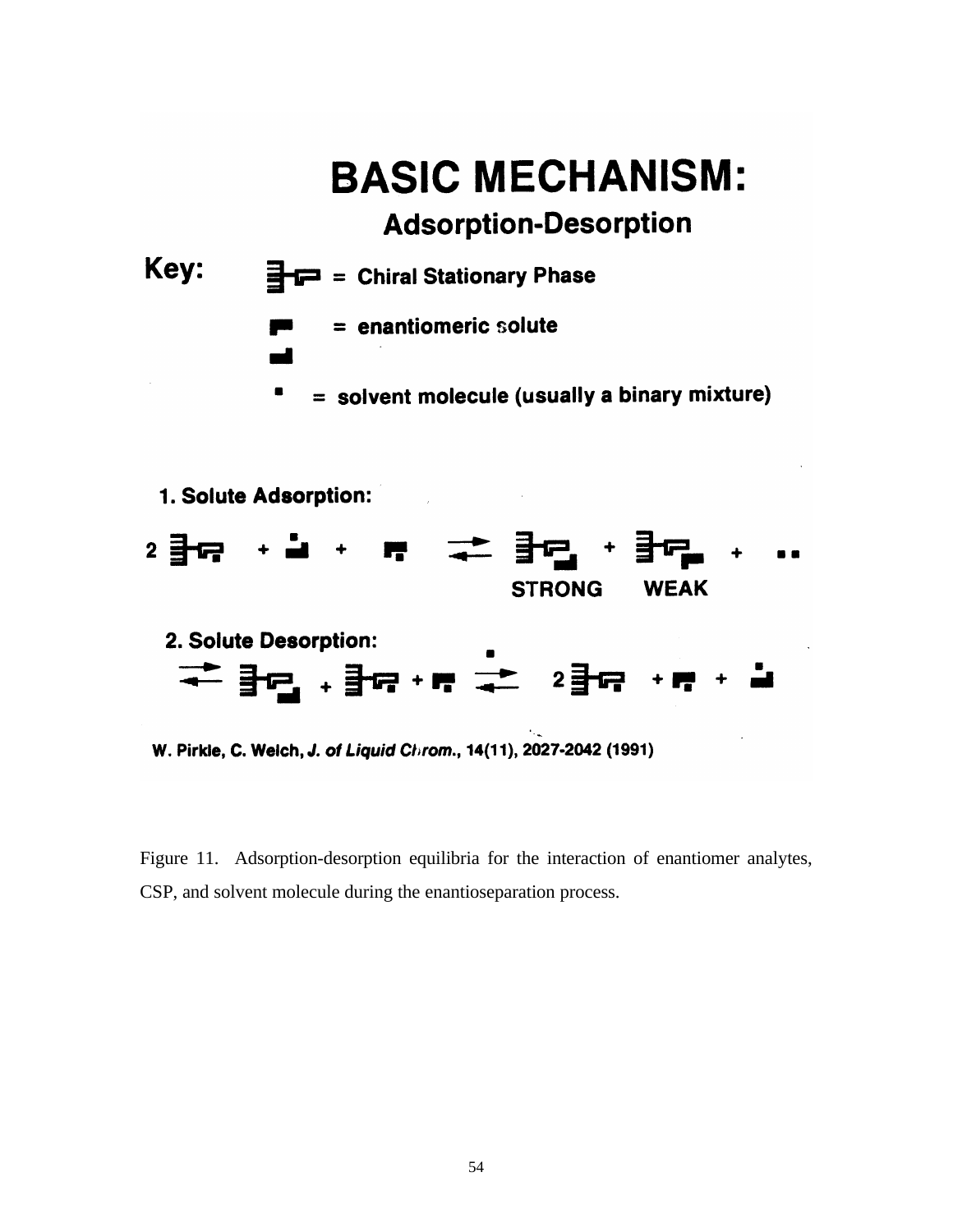



STRONG WEAK

W. Pirkle, C. Welch, J. of Liquid Chrom., 14(11), 2027-2042 (1991)

Figure 11. Adsorption-desorption equilibria for the interaction of enantiomer analytes, CSP, and solvent molecule during the enantioseparation process.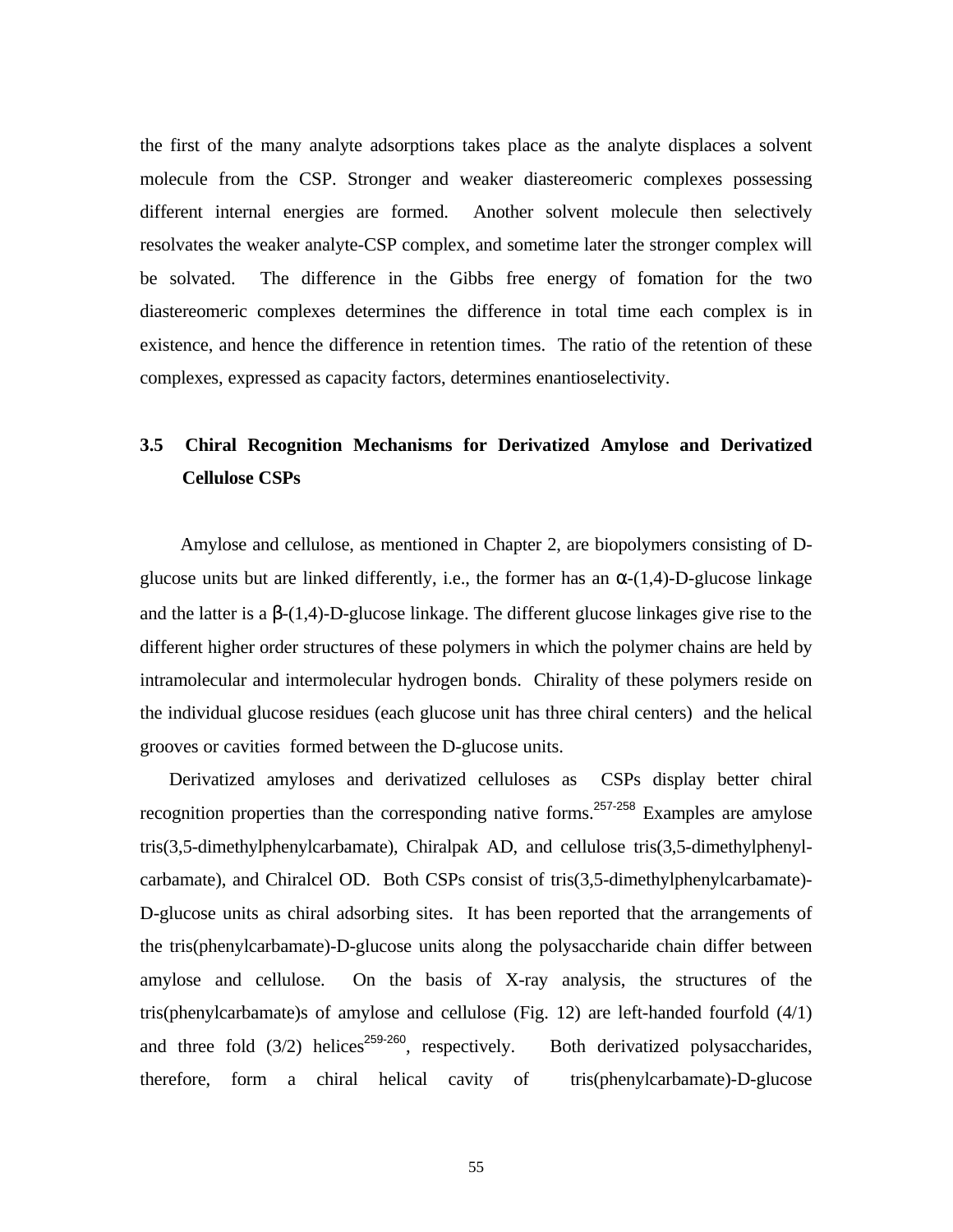the first of the many analyte adsorptions takes place as the analyte displaces a solvent molecule from the CSP. Stronger and weaker diastereomeric complexes possessing different internal energies are formed. Another solvent molecule then selectively resolvates the weaker analyte-CSP complex, and sometime later the stronger complex will be solvated. The difference in the Gibbs free energy of fomation for the two diastereomeric complexes determines the difference in total time each complex is in existence, and hence the difference in retention times. The ratio of the retention of these complexes, expressed as capacity factors, determines enantioselectivity.

## **3.5 Chiral Recognition Mechanisms for Derivatized Amylose and Derivatized Cellulose CSPs**

 Amylose and cellulose, as mentioned in Chapter 2, are biopolymers consisting of Dglucose units but are linked differently, i.e., the former has an  $\alpha$ -(1,4)-D-glucose linkage and the latter is a  $\beta$ -(1,4)-D-glucose linkage. The different glucose linkages give rise to the different higher order structures of these polymers in which the polymer chains are held by intramolecular and intermolecular hydrogen bonds. Chirality of these polymers reside on the individual glucose residues (each glucose unit has three chiral centers) and the helical grooves or cavities formed between the D-glucose units.

 Derivatized amyloses and derivatized celluloses as CSPs display better chiral recognition properties than the corresponding native forms.<sup>257-258</sup> Examples are amylose tris(3,5-dimethylphenylcarbamate), Chiralpak AD, and cellulose tris(3,5-dimethylphenylcarbamate), and Chiralcel OD. Both CSPs consist of tris(3,5-dimethylphenylcarbamate)- D-glucose units as chiral adsorbing sites. It has been reported that the arrangements of the tris(phenylcarbamate)-D-glucose units along the polysaccharide chain differ between amylose and cellulose. On the basis of X-ray analysis, the structures of the tris(phenylcarbamate)s of amylose and cellulose (Fig. 12) are left-handed fourfold (4/1) and three fold  $(3/2)$  helices<sup>259-260</sup>, respectively. Both derivatized polysaccharides, therefore, form a chiral helical cavity of tris(phenylcarbamate)-D-glucose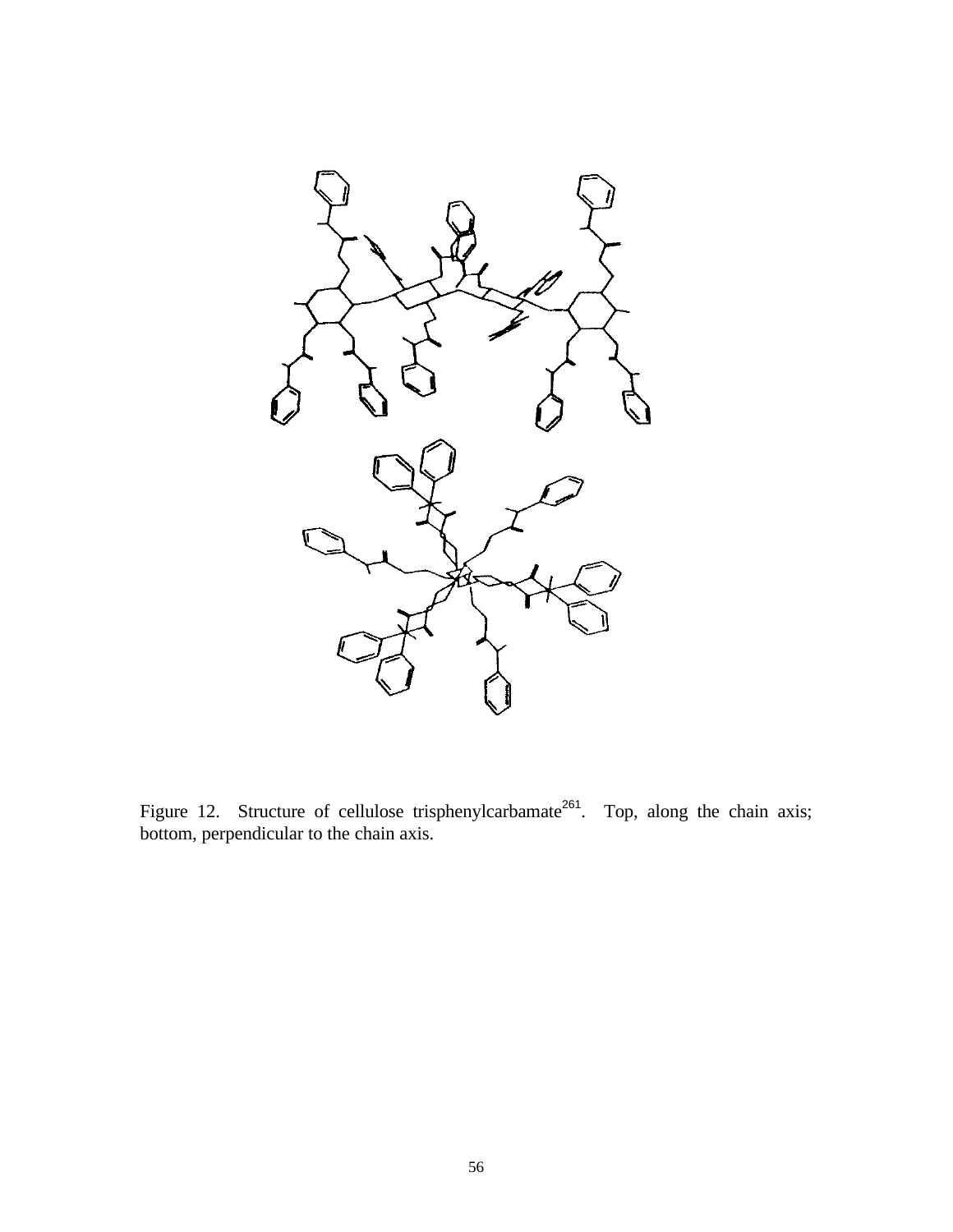

Figure 12. Structure of cellulose trisphenylcarbamate<sup>261</sup>. Top, along the chain axis; bottom, perpendicular to the chain axis.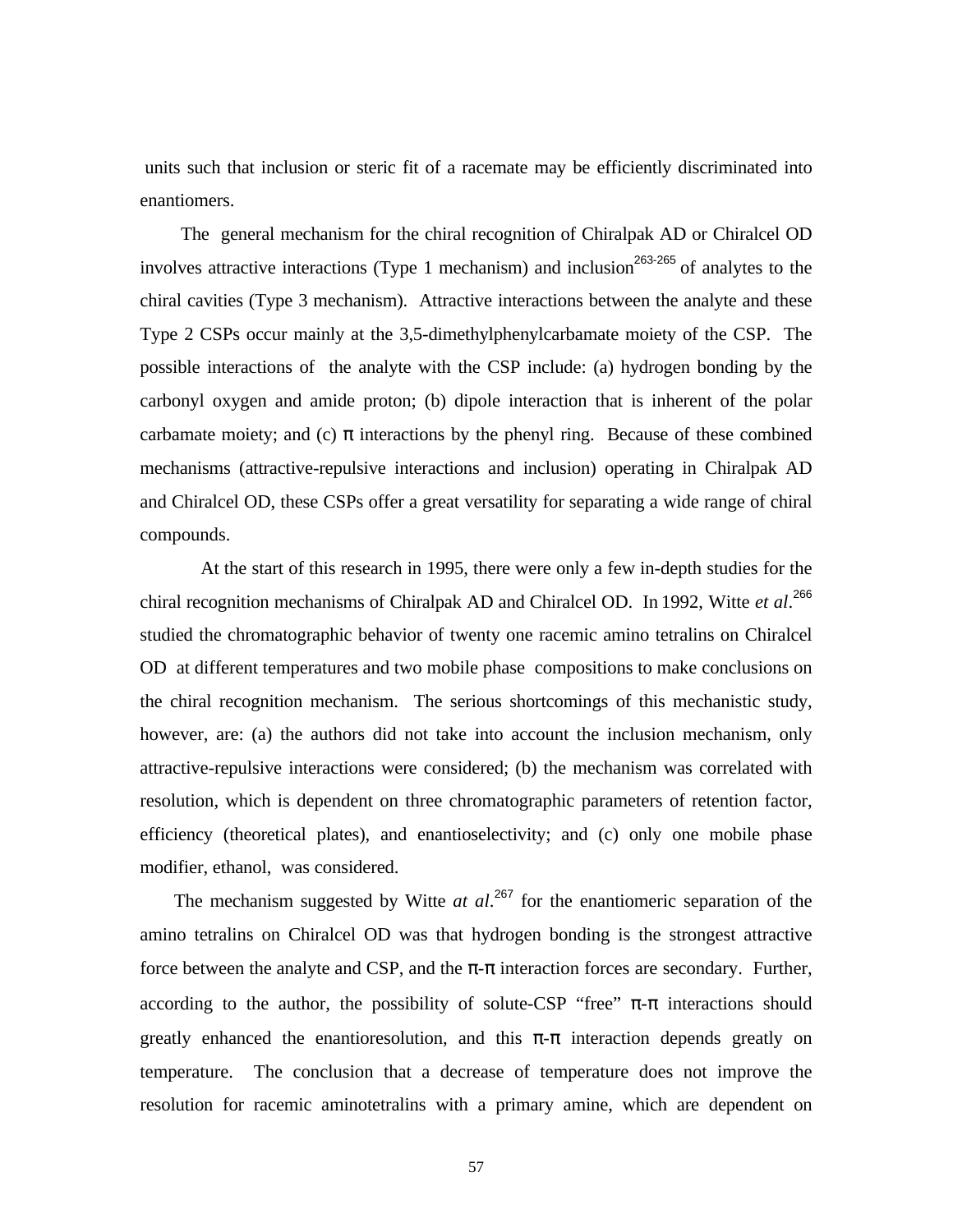units such that inclusion or steric fit of a racemate may be efficiently discriminated into enantiomers.

 The general mechanism for the chiral recognition of Chiralpak AD or Chiralcel OD involves attractive interactions (Type 1 mechanism) and inclusion<sup>263-265</sup> of analytes to the chiral cavities (Type 3 mechanism). Attractive interactions between the analyte and these Type 2 CSPs occur mainly at the 3,5-dimethylphenylcarbamate moiety of the CSP. The possible interactions of the analyte with the CSP include: (a) hydrogen bonding by the carbonyl oxygen and amide proton; (b) dipole interaction that is inherent of the polar carbamate moiety; and (c)  $\pi$  interactions by the phenyl ring. Because of these combined mechanisms (attractive-repulsive interactions and inclusion) operating in Chiralpak AD and Chiralcel OD, these CSPs offer a great versatility for separating a wide range of chiral compounds.

 At the start of this research in 1995, there were only a few in-depth studies for the chiral recognition mechanisms of Chiralpak AD and Chiralcel OD. In 1992, Witte *et al*. 266 studied the chromatographic behavior of twenty one racemic amino tetralins on Chiralcel OD at different temperatures and two mobile phase compositions to make conclusions on the chiral recognition mechanism. The serious shortcomings of this mechanistic study, however, are: (a) the authors did not take into account the inclusion mechanism, only attractive-repulsive interactions were considered; (b) the mechanism was correlated with resolution, which is dependent on three chromatographic parameters of retention factor, efficiency (theoretical plates), and enantioselectivity; and (c) only one mobile phase modifier, ethanol, was considered.

 The mechanism suggested by Witte *at al*. <sup>267</sup> for the enantiomeric separation of the amino tetralins on Chiralcel OD was that hydrogen bonding is the strongest attractive force between the analyte and CSP, and the  $\pi$ - $\pi$  interaction forces are secondary. Further, according to the author, the possibility of solute-CSP "free"  $\pi$ - $\pi$  interactions should greatly enhanced the enantioresolution, and this  $\pi$ -π interaction depends greatly on temperature. The conclusion that a decrease of temperature does not improve the resolution for racemic aminotetralins with a primary amine, which are dependent on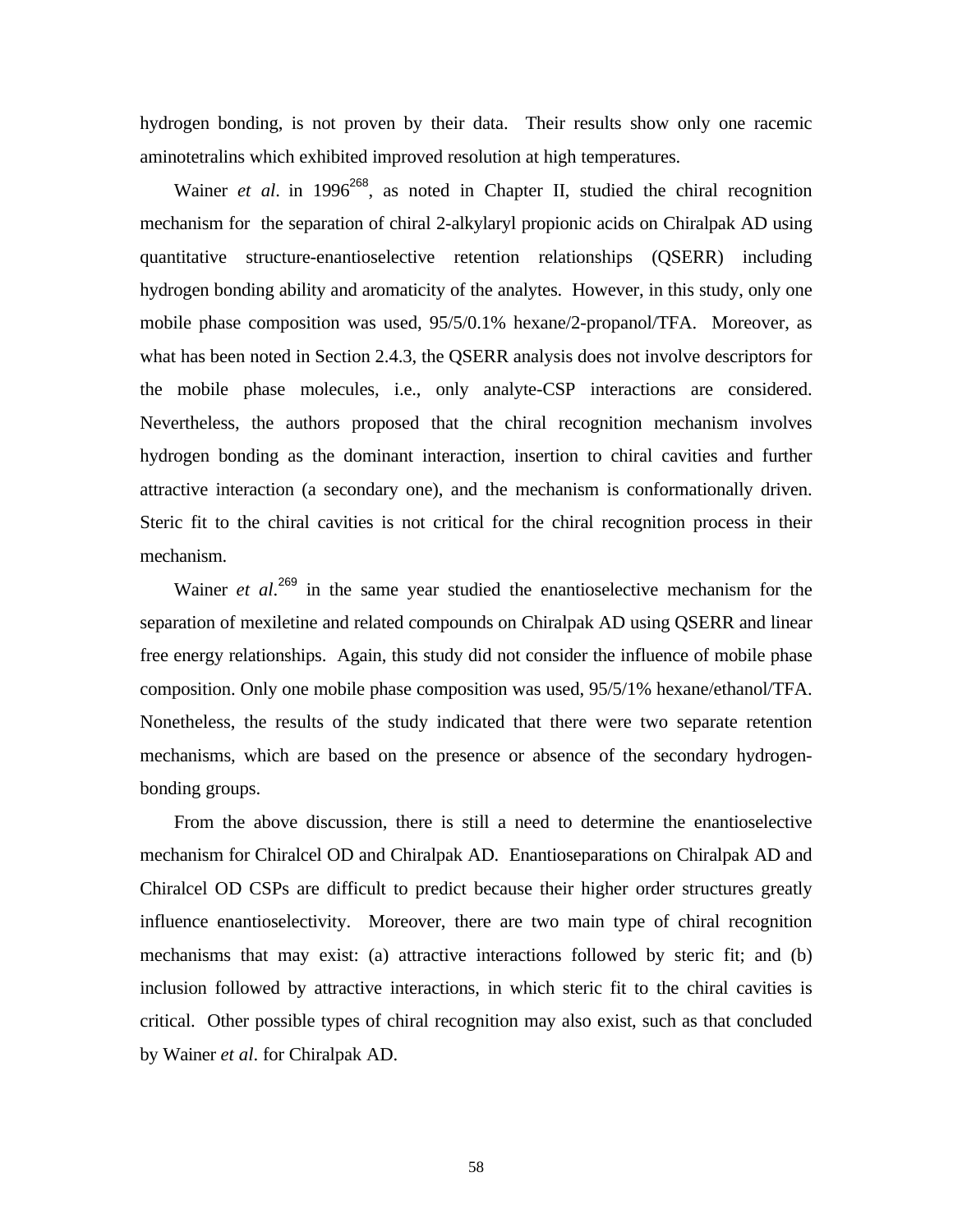hydrogen bonding, is not proven by their data. Their results show only one racemic aminotetralins which exhibited improved resolution at high temperatures.

Wainer *et al.* in 1996<sup>268</sup>, as noted in Chapter II, studied the chiral recognition mechanism for the separation of chiral 2-alkylaryl propionic acids on Chiralpak AD using quantitative structure-enantioselective retention relationships (QSERR) including hydrogen bonding ability and aromaticity of the analytes. However, in this study, only one mobile phase composition was used, 95/5/0.1% hexane/2-propanol/TFA. Moreover, as what has been noted in Section 2.4.3, the QSERR analysis does not involve descriptors for the mobile phase molecules, i.e., only analyte-CSP interactions are considered. Nevertheless, the authors proposed that the chiral recognition mechanism involves hydrogen bonding as the dominant interaction, insertion to chiral cavities and further attractive interaction (a secondary one), and the mechanism is conformationally driven. Steric fit to the chiral cavities is not critical for the chiral recognition process in their mechanism.

Wainer *et al.*<sup>269</sup> in the same year studied the enantioselective mechanism for the separation of mexiletine and related compounds on Chiralpak AD using QSERR and linear free energy relationships. Again, this study did not consider the influence of mobile phase composition. Only one mobile phase composition was used, 95/5/1% hexane/ethanol/TFA. Nonetheless, the results of the study indicated that there were two separate retention mechanisms, which are based on the presence or absence of the secondary hydrogenbonding groups.

 From the above discussion, there is still a need to determine the enantioselective mechanism for Chiralcel OD and Chiralpak AD. Enantioseparations on Chiralpak AD and Chiralcel OD CSPs are difficult to predict because their higher order structures greatly influence enantioselectivity. Moreover, there are two main type of chiral recognition mechanisms that may exist: (a) attractive interactions followed by steric fit; and (b) inclusion followed by attractive interactions, in which steric fit to the chiral cavities is critical. Other possible types of chiral recognition may also exist, such as that concluded by Wainer *et al*. for Chiralpak AD.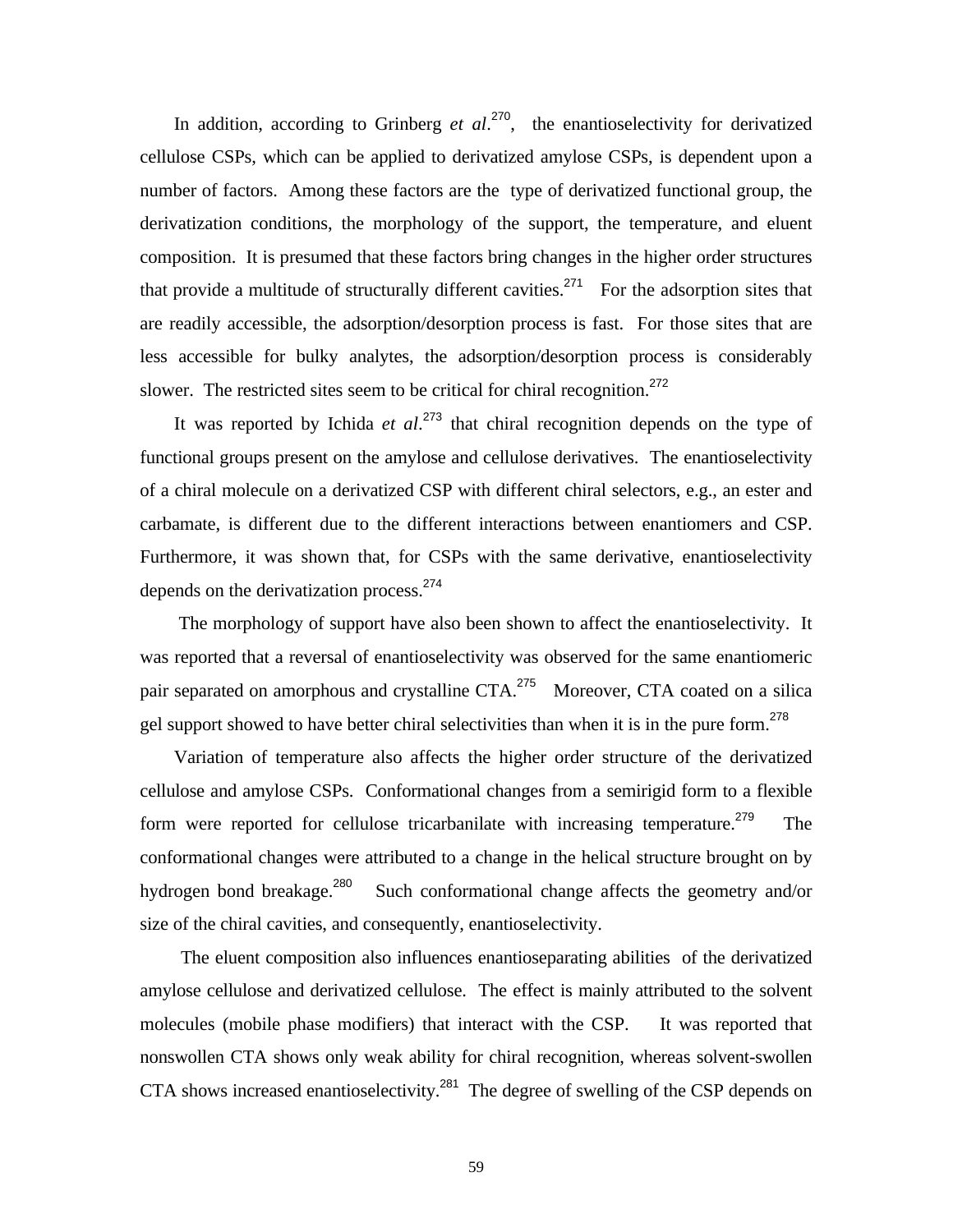In addition, according to Grinberg *et al.*<sup>270</sup>, the enantioselectivity for derivatized cellulose CSPs, which can be applied to derivatized amylose CSPs, is dependent upon a number of factors. Among these factors are the type of derivatized functional group, the derivatization conditions, the morphology of the support, the temperature, and eluent composition. It is presumed that these factors bring changes in the higher order structures that provide a multitude of structurally different cavities.<sup>271</sup> For the adsorption sites that are readily accessible, the adsorption/desorption process is fast. For those sites that are less accessible for bulky analytes, the adsorption/desorption process is considerably slower. The restricted sites seem to be critical for chiral recognition.<sup>272</sup>

 It was reported by Ichida *et al*. <sup>273</sup> that chiral recognition depends on the type of functional groups present on the amylose and cellulose derivatives.The enantioselectivity of a chiral molecule on a derivatized CSP with different chiral selectors, e.g., an ester and carbamate, is different due to the different interactions between enantiomers and CSP. Furthermore, it was shown that, for CSPs with the same derivative, enantioselectivity depends on the derivatization process.<sup>274</sup>

 The morphology of support have also been shown to affect the enantioselectivity. It was reported that a reversal of enantioselectivity was observed for the same enantiomeric pair separated on amorphous and crystalline CTA.<sup>275</sup> Moreover, CTA coated on a silica gel support showed to have better chiral selectivities than when it is in the pure form.<sup>278</sup>

 Variation of temperature also affects the higher order structure of the derivatized cellulose and amylose CSPs. Conformational changes from a semirigid form to a flexible form were reported for cellulose tricarbanilate with increasing temperature.<sup>279</sup> The conformational changes were attributed to a change in the helical structure brought on by hydrogen bond breakage.<sup>280</sup> Such conformational change affects the geometry and/or size of the chiral cavities, and consequently, enantioselectivity.

 The eluent composition also influences enantioseparating abilities of the derivatized amylose cellulose and derivatized cellulose. The effect is mainly attributed to the solvent molecules (mobile phase modifiers) that interact with the CSP. It was reported that nonswollen CTA shows only weak ability for chiral recognition, whereas solvent-swollen CTA shows increased enantioselectivity.<sup>281</sup> The degree of swelling of the CSP depends on